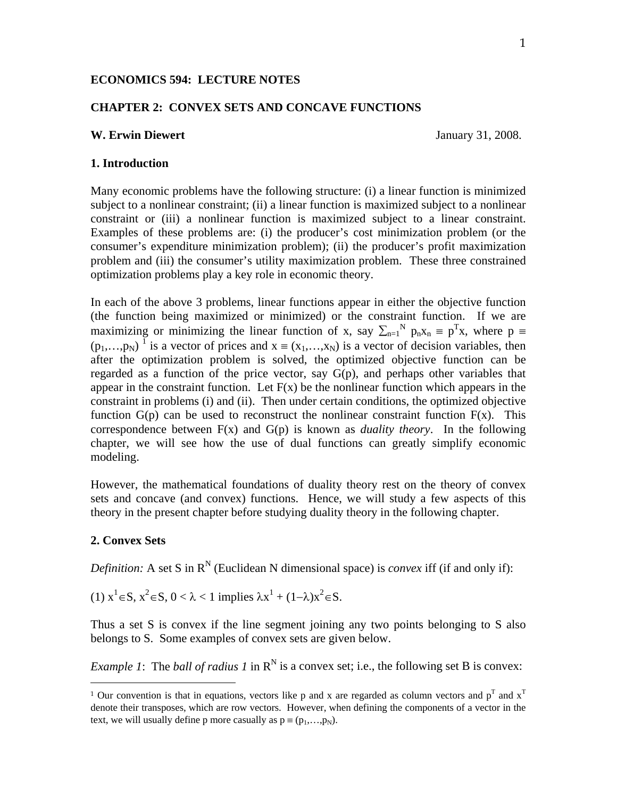# **ECONOMICS 594: LECTURE NOTES**

## **CHAPTER 2: CONVEX SETS AND CONCAVE FUNCTIONS**

### **W. Erwin Diewert** January 31, 2008.

#### **1. Introduction**

Many economic problems have the following structure: (i) a linear function is minimized subject to a nonlinear constraint; (ii) a linear function is maximized subject to a nonlinear constraint or (iii) a nonlinear function is maximized subject to a linear constraint. Examples of these problems are: (i) the producer's cost minimization problem (or the consumer's expenditure minimization problem); (ii) the producer's profit maximization problem and (iii) the consumer's utility maximization problem. These three constrained optimization problems play a key role in economic theory.

In each of the above 3 problems, linear functions appear in either the objective function (the function being maximized or minimized) or the constraint function. If we are maximizing or minimizing the linear function of x, say  $\sum_{n=1}^{N} p_n x_n = p^T x$ , where  $p \equiv$  $(p_1,...,p_N)^{-1}$  is a vector of prices and  $x = (x_1,...,x_N)$  is a vector of decision variables, then after the optimization problem is solved, the optimized objective function can be regarded as a function of the price vector, say  $G(p)$ , and perhaps other variables that appear in the constraint function. Let  $F(x)$  be the nonlinear function which appears in the constraint in problems (i) and (ii). Then under certain conditions, the optimized objective function  $G(p)$  can be used to reconstruct the nonlinear constraint function  $F(x)$ . This correspondence between F(x) and G(p) is known as *duality theory*. In the following chapter, we will see how the use of dual functions can greatly simplify economic modeling.

However, the mathematical foundations of duality theory rest on the theory of convex sets and concave (and convex) functions. Hence, we will study a few aspects of this theory in the present chapter before studying duality theory in the following chapter.

#### **2. Convex Sets**

-

*Definition:* A set S in  $R^N$  (Euclidean N dimensional space) is *convex* iff (if and only if):

(1)  $x^1 \in S$ ,  $x^2 \in S$ ,  $0 < \lambda < 1$  implies  $\lambda x^1 + (1-\lambda)x^2 \in S$ .

Thus a set S is convex if the line segment joining any two points belonging to S also belongs to S. Some examples of convex sets are given below.

*Example 1*: The *ball of radius 1* in  $\mathbb{R}^N$  is a convex set; i.e., the following set B is convex:

<sup>&</sup>lt;sup>1</sup> Our convention is that in equations, vectors like p and x are regarded as column vectors and  $p^T$  and  $x^T$ denote their transposes, which are row vectors. However, when defining the components of a vector in the text, we will usually define p more casually as  $p = (p_1, \ldots, p_N)$ .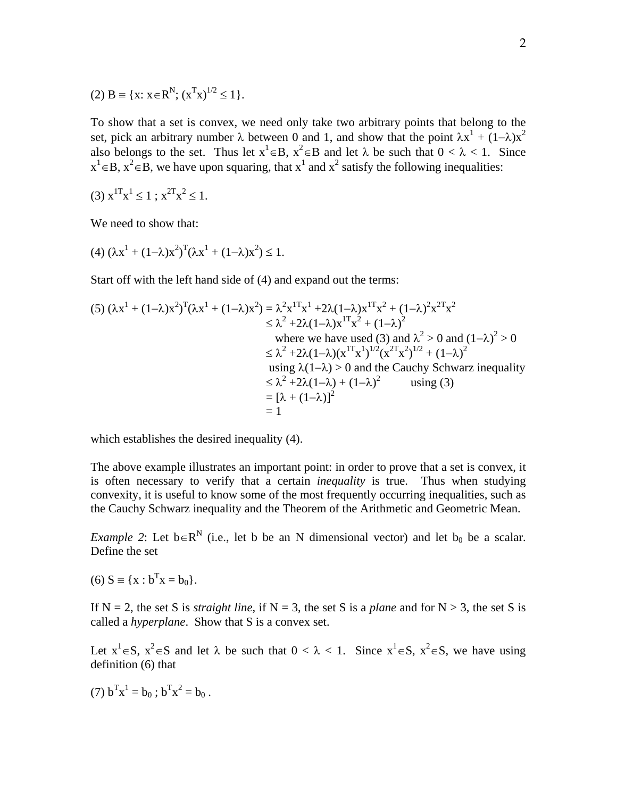(2) 
$$
B = {x: x \in R^N; (x^T x)^{1/2} \le 1}.
$$

To show that a set is convex, we need only take two arbitrary points that belong to the set, pick an arbitrary number  $\lambda$  between 0 and 1, and show that the point  $\lambda x^1 + (1-\lambda)x^2$ also belongs to the set. Thus let  $x^1 \in B$ ,  $x^2 \in B$  and let  $\lambda$  be such that  $0 < \lambda < 1$ . Since  $x^1 \in B$ ,  $x^2 \in B$ , we have upon squaring, that  $x^1$  and  $x^2$  satisfy the following inequalities:

(3) 
$$
x^{1T}x^1 \le 1
$$
;  $x^{2T}x^2 \le 1$ .

We need to show that:

(4) 
$$
(\lambda x^1 + (1-\lambda)x^2)^T (\lambda x^1 + (1-\lambda)x^2) \le 1
$$
.

Start off with the left hand side of (4) and expand out the terms:

$$
(5) (\lambda x^{1} + (1-\lambda)x^{2})^{T}(\lambda x^{1} + (1-\lambda)x^{2}) = \lambda^{2} x^{1T} x^{1} + 2\lambda (1-\lambda)x^{1T} x^{2} + (1-\lambda)^{2} x^{2T} x^{2}
$$
  
\n
$$
\leq \lambda^{2} + 2\lambda (1-\lambda)x^{1T} x^{2} + (1-\lambda)^{2}
$$
  
\nwhere we have used (3) and  $\lambda^{2} > 0$  and  $(1-\lambda)^{2} > 0$   
\n
$$
\leq \lambda^{2} + 2\lambda (1-\lambda)(x^{1T} x^{1})^{1/2} (x^{2T} x^{2})^{1/2} + (1-\lambda)^{2}
$$
  
\nusing  $\lambda (1-\lambda) > 0$  and the Cauchy Schwarz inequality  
\n
$$
\leq \lambda^{2} + 2\lambda (1-\lambda) + (1-\lambda)^{2}
$$
 using (3)  
\n
$$
= [\lambda + (1-\lambda)]^{2}
$$
  
\n
$$
= 1
$$

which establishes the desired inequality (4).

The above example illustrates an important point: in order to prove that a set is convex, it is often necessary to verify that a certain *inequality* is true. Thus when studying convexity, it is useful to know some of the most frequently occurring inequalities, such as the Cauchy Schwarz inequality and the Theorem of the Arithmetic and Geometric Mean.

*Example 2*: Let  $b \in R^N$  (i.e., let b be an N dimensional vector) and let  $b_0$  be a scalar. Define the set

(6) 
$$
S = \{x : b^T x = b_0\}.
$$

If  $N = 2$ , the set S is *straight line*, if  $N = 3$ , the set S is a *plane* and for  $N > 3$ , the set S is called a *hyperplane*. Show that S is a convex set.

Let  $x^1 \in S$ ,  $x^2 \in S$  and let  $\lambda$  be such that  $0 < \lambda < 1$ . Since  $x^1 \in S$ ,  $x^2 \in S$ , we have using definition (6) that

(7)  $b^T x^1 = b_0$ ;  $b^T x^2 = b_0$ .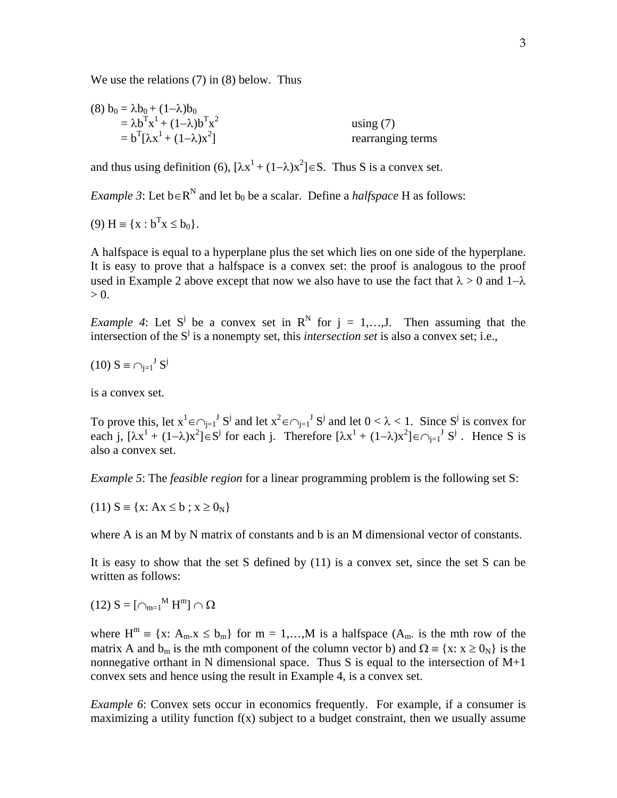We use the relations (7) in (8) below. Thus

(8) 
$$
b_0 = \lambda b_0 + (1-\lambda)b_0
$$
  
\n
$$
= \lambda b^T x^1 + (1-\lambda)b^T x^2
$$
\n
$$
= b^T [\lambda x^1 + (1-\lambda)x^2]
$$
\nusing (7)  
\nrearranging terms

and thus using definition (6),  $[\lambda x^1 + (1-\lambda)x^2] \in S$ . Thus S is a convex set.

*Example 3*: Let  $b \in R^N$  and let  $b_0$  be a scalar. Define a *halfspace* H as follows:

(9) 
$$
H = \{x : b^T x \le b_0\}.
$$

A halfspace is equal to a hyperplane plus the set which lies on one side of the hyperplane. It is easy to prove that a halfspace is a convex set: the proof is analogous to the proof used in Example 2 above except that now we also have to use the fact that  $\lambda > 0$  and  $1-\lambda$  $> 0$ .

*Example 4*: Let S<sup>j</sup> be a convex set in  $\mathbb{R}^N$  for  $j = 1,...,J$ . Then assuming that the intersection of the  $S^j$  is a nonempty set, this *intersection set* is also a convex set; i.e.,

$$
(10) S \equiv \bigcap_{j=1}^{J} S^j
$$

is a convex set.

To prove this, let  $x^1 \in \bigcap_{j=1}^J S^j$  and let  $x^2 \in \bigcap_{j=1}^J S^j$  and let  $0 < \lambda < 1$ . Since  $S^j$  is convex for each j,  $[\lambda x^1 + (1-\lambda)x^2] \in S^j$  for each j. Therefore  $[\lambda x^1 + (1-\lambda)x^2] \in \bigcap_{j=1}^j S^j$ . Hence S is also a convex set.

*Example 5*: The *feasible region* for a linear programming problem is the following set S:

 $(11) S = \{x: Ax \le b : x \ge 0_N\}$ 

where A is an M by N matrix of constants and b is an M dimensional vector of constants.

It is easy to show that the set S defined by (11) is a convex set, since the set S can be written as follows:

(12)  $S = [\bigcap_{m=1}^{M} H^{m}] \cap \Omega$ 

where  $H^m = \{x: A_m.x \leq b_m\}$  for  $m = 1,...,M$  is a halfspace  $(A_m, a)$  is the mth row of the matrix A and  $b_m$  is the mth component of the column vector b) and  $\Omega = \{x: x \ge 0_N\}$  is the nonnegative orthant in N dimensional space. Thus S is equal to the intersection of  $M+1$ convex sets and hence using the result in Example 4, is a convex set.

*Example 6*: Convex sets occur in economics frequently. For example, if a consumer is maximizing a utility function  $f(x)$  subject to a budget constraint, then we usually assume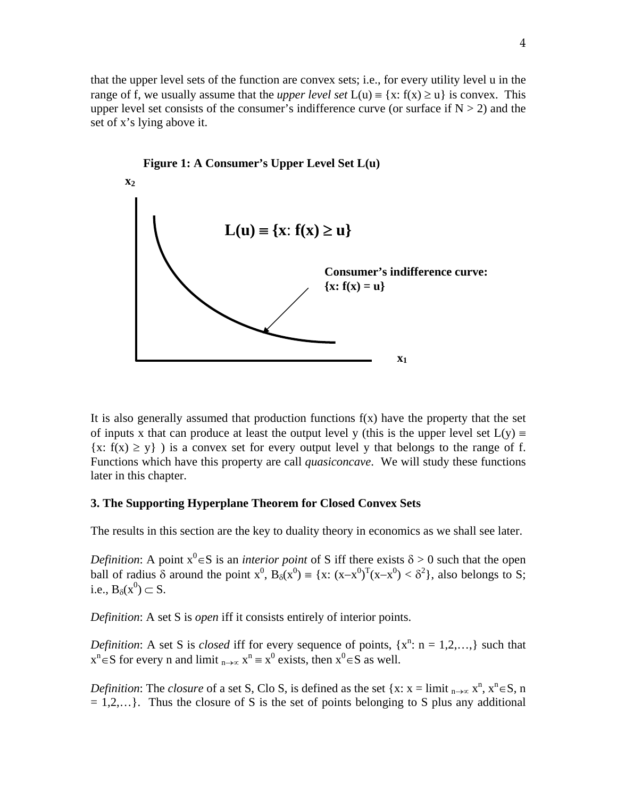that the upper level sets of the function are convex sets; i.e., for every utility level u in the range of f, we usually assume that the *upper level set*  $L(u) = \{x: f(x) \ge u\}$  is convex. This upper level set consists of the consumer's indifference curve (or surface if  $N > 2$ ) and the set of x's lying above it.



It is also generally assumed that production functions  $f(x)$  have the property that the set of inputs x that can produce at least the output level y (this is the upper level set  $L(y)$  =  ${x: f(x) \ge y}$  is a convex set for every output level y that belongs to the range of f. Functions which have this property are call *quasiconcave*. We will study these functions later in this chapter.

### **3. The Supporting Hyperplane Theorem for Closed Convex Sets**

The results in this section are the key to duality theory in economics as we shall see later.

*Definition*: A point  $x^0 \in S$  is an *interior point* of S iff there exists  $\delta > 0$  such that the open ball of radius  $\delta$  around the point  $x^0$ ,  $B_\delta(x^0) = \{x: (x-x^0)^T(x-x^0) < \delta^2\}$ , also belongs to S; i.e.,  $B_\delta(x^0) \subset S$ .

*Definition*: A set S is *open* iff it consists entirely of interior points.

*Definition*: A set S is *closed* iff for every sequence of points,  $\{x^n : n = 1,2,...\}$  such that  $x^{n} \in S$  for every n and limit  $_{n \to \infty} x^{n} \equiv x^{0}$  exists, then  $x^{0} \in S$  as well.

*Definition*: The *closure* of a set S, Clo S, is defined as the set {x: x = limit  $_{n\to\infty}$  x<sup>n</sup>, x<sup>n</sup>  $\in$  S, n  $= 1, 2, \ldots$ . Thus the closure of S is the set of points belonging to S plus any additional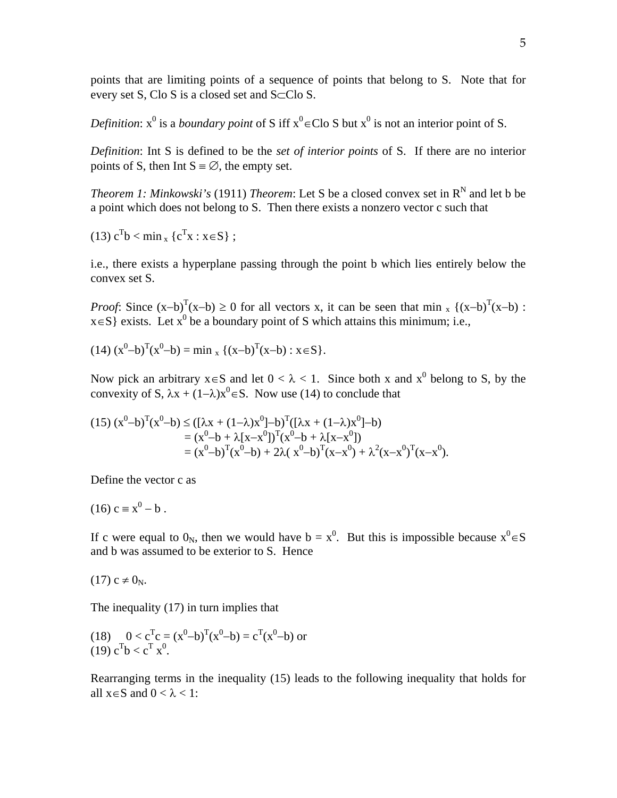points that are limiting points of a sequence of points that belong to S. Note that for every set S, Clo S is a closed set and  $S\subset$ Clo S.

*Definition*:  $x^0$  is a *boundary point* of S iff  $x^0 \in Clo$  S but  $x^0$  is not an interior point of S.

*Definition*: Int S is defined to be the *set of interior points* of S. If there are no interior points of S, then Int  $S = \emptyset$ , the empty set.

*Theorem 1: Minkowski's* (1911) *Theorem*: Let S be a closed convex set in  $R^N$  and let b be a point which does not belong to S. Then there exists a nonzero vector c such that

(13) 
$$
c^{T}b < \min_{x} \{c^{T}x : x \in S\}
$$
;

i.e., there exists a hyperplane passing through the point b which lies entirely below the convex set S.

*Proof*: Since  $(x-b)^T(x-b) \ge 0$  for all vectors x, it can be seen that min <sub>x</sub> { $(x-b)^T(x-b)$  :  $x \in S$  exists. Let  $x^0$  be a boundary point of S which attains this minimum; i.e.,

$$
(14) (x0-b)T(x0-b) = minx {(x-b)T(x-b) : x \in S}.
$$

Now pick an arbitrary  $x \in S$  and let  $0 < \lambda < 1$ . Since both x and  $x^0$  belong to S, by the convexity of S,  $\lambda x + (1-\lambda)x^0 \in S$ . Now use (14) to conclude that

$$
(15) (x^{0}-b)^{T}(x^{0}-b) \leq ([\lambda x + (1-\lambda)x^{0}] - b)^{T}([\lambda x + (1-\lambda)x^{0}] - b)
$$
  
=  $(x^{0}-b + \lambda[x-x^{0}])^{T}(x^{0}-b + \lambda[x-x^{0}])$   
=  $(x^{0}-b)^{T}(x^{0}-b) + 2\lambda(x^{0}-b)^{T}(x-x^{0}) + \lambda^{2}(x-x^{0})^{T}(x-x^{0}).$ 

Define the vector c as

$$
(16) c \equiv x^0 - b.
$$

If c were equal to  $0_N$ , then we would have  $b = x^0$ . But this is impossible because  $x^0 \in S$ and b was assumed to be exterior to S. Hence

$$
(17) c \neq 0_N.
$$

The inequality (17) in turn implies that

(18) 
$$
0 < cTc = (x0 - b)T(x0 - b) = cT(x0 - b)
$$
 or  
(19)  $cTb < cTx0$ .

Rearranging terms in the inequality (15) leads to the following inequality that holds for all  $x \in S$  and  $0 < \lambda < 1$ :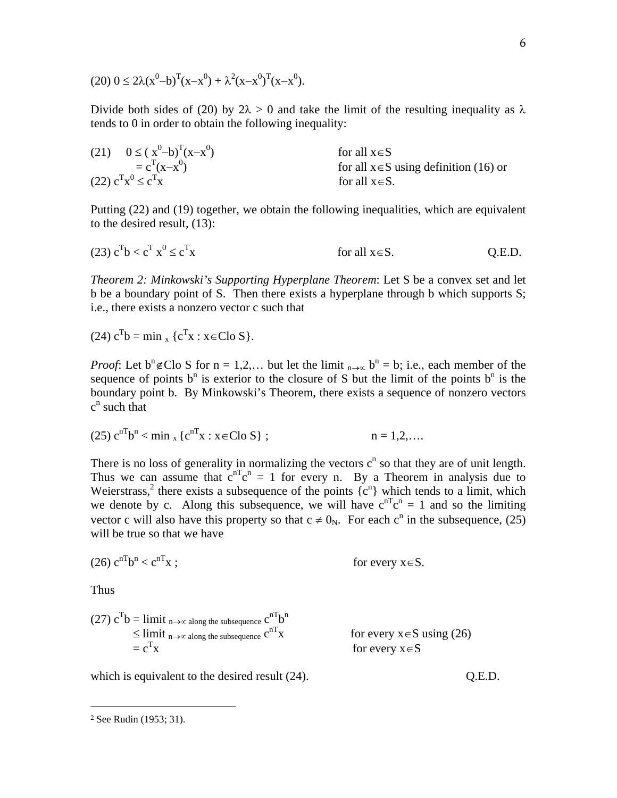$$
(20) 0 \le 2\lambda (x^0 - b)^T (x - x^0) + \lambda^2 (x - x^0)^T (x - x^0).
$$

Divide both sides of (20) by  $2\lambda > 0$  and take the limit of the resulting inequality as  $\lambda$ tends to 0 in order to obtain the following inequality:

(21) 
$$
0 \le (x^0-b)^T(x-x^0)
$$
  
\t\t\t $= c^T(x-x^0)$   
\t\t\tfor all  $x \in S$   
\t\t\tfor all  $x \in S$  using definition (16) or  
\t\t\tfor all  $x \in S$ .  
\t\t\tfor all  $x \in S$ .

Putting (22) and (19) together, we obtain the following inequalities, which are equivalent to the desired result, (13):

(23) 
$$
c^T b < c^T x^0 \le c^T x
$$
 for all  $x \in S$ . Q.E.D.

*Theorem 2: Minkowski's Supporting Hyperplane Theorem*: Let S be a convex set and let b be a boundary point of S. Then there exists a hyperplane through b which supports S; i.e., there exists a nonzero vector c such that

(24) 
$$
c^{T}b = \min_{x} \{c^{T}x : x \in Clo S\}.
$$

*Proof*: Let  $b^n \notin C$  S for  $n = 1, 2, ...$  but let the limit  $n \to \infty$   $b^n = b$ ; i.e., each member of the sequence of points  $b^n$  is exterior to the closure of S but the limit of the points  $b^n$  is the boundary point b. By Minkowski's Theorem, there exists a sequence of nonzero vectors  $c^n$  such that

(25) 
$$
c^{nT}b^{n} < \min_{x} \{c^{nT}x : x \in C \cup S\}
$$
;  $n = 1, 2, ...$ 

There is no loss of generality in normalizing the vectors  $c^n$  so that they are of unit length. Thus we can assume that  $c^{nT}c^n = 1$  for every n. By a Theorem in analysis due to Weierstrass,<sup>2</sup> there exists a subsequence of the points  $\{c^n\}$  which tends to a limit, which we denote by c. Along this subsequence, we will have  $c^{nT}c^n = 1$  and so the limiting vector c will also have this property so that  $c \neq 0_N$ . For each  $c^n$  in the subsequence, (25) will be true so that we have

$$
(26) cnTbn < cnTx ; \tfor every x \in S.
$$

Thus

-

(27) 
$$
c^T b = \lim_{n \to \infty} \lim_{n \to \infty} \frac{1}{n}
$$
  
\n $\leq \lim_{n \to \infty} \lim_{n \to \infty} \frac{1}{n}$   
\n $= c^T x$   
\nFor every  $x \in S$  using (26)  
\nfor every  $x \in S$ 

which is equivalent to the desired result (24).  $Q.E.D.$ 

<sup>2</sup> See Rudin (1953; 31).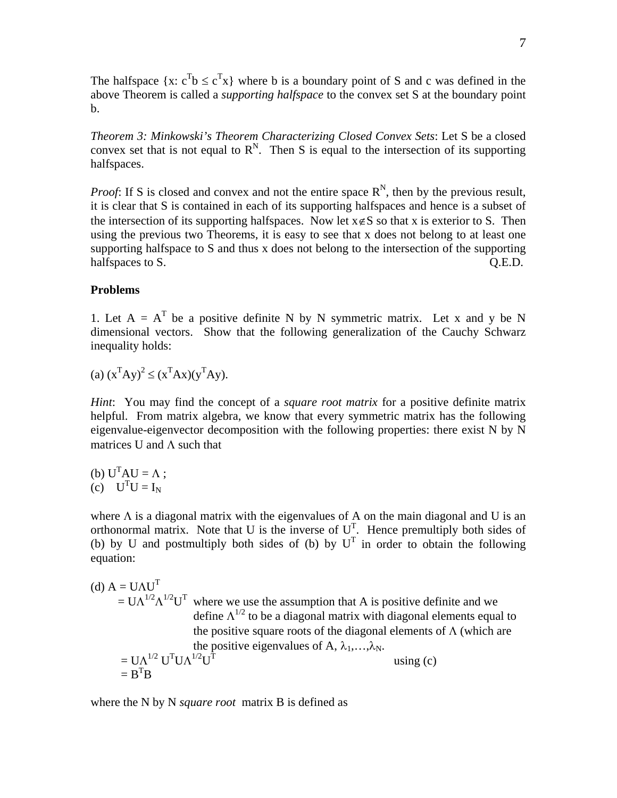The halfspace  $\{x: c^{T}b \leq c^{T}x\}$  where b is a boundary point of S and c was defined in the above Theorem is called a *supporting halfspace* to the convex set S at the boundary point b.

*Theorem 3: Minkowski's Theorem Characterizing Closed Convex Sets*: Let S be a closed convex set that is not equal to  $\mathbb{R}^N$ . Then S is equal to the intersection of its supporting halfspaces.

*Proof*: If S is closed and convex and not the entire space  $R^N$ , then by the previous result, it is clear that S is contained in each of its supporting halfspaces and hence is a subset of the intersection of its supporting halfspaces. Now let  $x \notin S$  so that x is exterior to S. Then using the previous two Theorems, it is easy to see that x does not belong to at least one supporting halfspace to S and thus x does not belong to the intersection of the supporting halfspaces to S. C. C. Q.E.D.

#### **Problems**

1. Let  $A = A^T$  be a positive definite N by N symmetric matrix. Let x and y be N dimensional vectors. Show that the following generalization of the Cauchy Schwarz inequality holds:

(a)  $(x^T A y)^2 \le (x^T A x)(y^T A y)$ .

*Hint*: You may find the concept of a *square root matrix* for a positive definite matrix helpful. From matrix algebra, we know that every symmetric matrix has the following eigenvalue-eigenvector decomposition with the following properties: there exist N by N matrices U and  $\Lambda$  such that

(b)  $U<sup>T</sup>AU = \Lambda$ ;  $(c)$   $U<sup>T</sup>U = I<sub>N</sub>$ 

where  $\Lambda$  is a diagonal matrix with the eigenvalues of A on the main diagonal and U is an orthonormal matrix. Note that U is the inverse of  $U<sup>T</sup>$ . Hence premultiply both sides of (b) by U and postmultiply both sides of (b) by  $U<sup>T</sup>$  in order to obtain the following equation:

(d)  $A = UAU<sup>T</sup>$  $= U \Lambda^{1/2} \Lambda^{1/2} U^{T}$  where we use the assumption that A is positive definite and we define  $\Lambda^{1/2}$  to be a diagonal matrix with diagonal elements equal to the positive square roots of the diagonal elements of  $\Lambda$  (which are the positive eigenvalues of A,  $\lambda_1, \ldots, \lambda_N$ .  $=$  U $\Lambda^{1/2}$  U<sup>T</sup>U $\Lambda^{1/2}$ U<sup>T</sup> using (c)  $= \mathbf{B}^{\mathrm{T}} \mathbf{B}$ 

where the N by N *square root* matrix B is defined as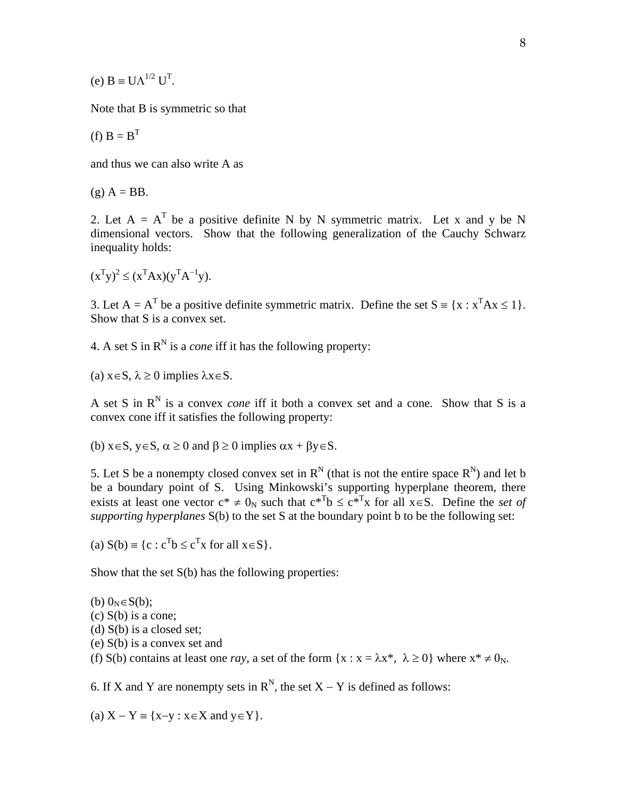(e)  $B = U\Lambda^{1/2} U^{T}$ .

Note that B is symmetric so that

$$
(f) B = BT
$$

and thus we can also write A as

 $(g)$   $A = BB$ .

2. Let  $A = A^T$  be a positive definite N by N symmetric matrix. Let x and y be N dimensional vectors. Show that the following generalization of the Cauchy Schwarz inequality holds:

 $(x^T y)^2 \le (x^T A x)(y^T A^{-1} y).$ 

3. Let  $A = A^T$  be a positive definite symmetric matrix. Define the set  $S = \{x : x^T A x \le 1\}$ . Show that S is a convex set.

4. A set S in  $R^N$  is a *cone* iff it has the following property:

(a)  $x \in S$ ,  $\lambda \ge 0$  implies  $\lambda x \in S$ .

A set S in  $R^N$  is a convex *cone* iff it both a convex set and a cone. Show that S is a convex cone iff it satisfies the following property:

(b)  $x \in S$ ,  $y \in S$ ,  $\alpha \ge 0$  and  $\beta \ge 0$  implies  $\alpha x + \beta y \in S$ .

5. Let S be a nonempty closed convex set in  $R^N$  (that is not the entire space  $R^N$ ) and let b be a boundary point of S. Using Minkowski's supporting hyperplane theorem, there exists at least one vector  $c^* \neq 0_N$  such that  $c^{*T}b \leq c^{*T}x$  for all  $x \in S$ . Define the *set of supporting hyperplanes* S(b) to the set S at the boundary point b to be the following set:

(a)  $S(b) \equiv \{c : c^Tb \le c^Tx \text{ for all } x \in S\}.$ 

Show that the set  $S(b)$  has the following properties:

(b)  $0<sub>N</sub> \in S(b)$ ; (c) S(b) is a cone; (d) S(b) is a closed set; (e) S(b) is a convex set and (f) S(b) contains at least one *ray*, a set of the form  $\{x : x = \lambda x^*, \lambda \ge 0\}$  where  $x^* \ne 0_N$ .

6. If X and Y are nonempty sets in  $R^N$ , the set  $X - Y$  is defined as follows:

(a)  $X - Y \equiv \{x-y : x \in X \text{ and } y \in Y\}.$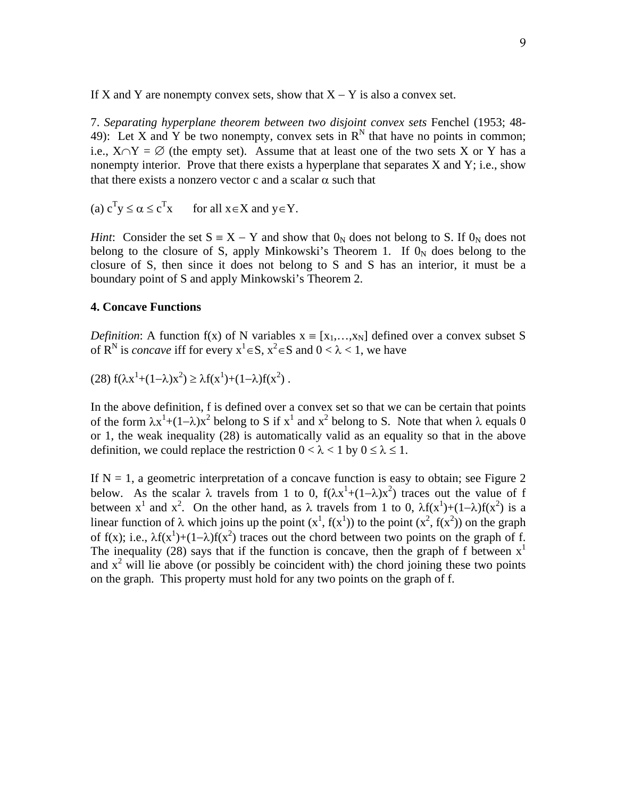If X and Y are nonempty convex sets, show that  $X - Y$  is also a convex set.

7. *Separating hyperplane theorem between two disjoint convex sets* Fenchel (1953; 48- 49): Let X and Y be two nonempty, convex sets in  $R^N$  that have no points in common; i.e.,  $X \cap Y = \emptyset$  (the empty set). Assume that at least one of the two sets X or Y has a nonempty interior. Prove that there exists a hyperplane that separates X and Y; i.e., show that there exists a nonzero vector c and a scalar  $\alpha$  such that

(a)  $c^T y \leq \alpha \leq c^T$ for all  $x \in X$  and  $y \in Y$ .

*Hint*: Consider the set  $S = X - Y$  and show that  $0_N$  does not belong to S. If  $0_N$  does not belong to the closure of S, apply Minkowski's Theorem 1. If  $0<sub>N</sub>$  does belong to the closure of S, then since it does not belong to S and S has an interior, it must be a boundary point of S and apply Minkowski's Theorem 2.

## **4. Concave Functions**

*Definition*: A function f(x) of N variables  $x = [x_1, \ldots, x_N]$  defined over a convex subset S of R<sup>N</sup> is *concave* iff for every  $x^1 \in S$ ,  $x^2 \in S$  and  $0 < \lambda < 1$ , we have

$$
(28) f(\lambda x^1 + (1 - \lambda)x^2) \ge \lambda f(x^1) + (1 - \lambda)f(x^2) .
$$

In the above definition, f is defined over a convex set so that we can be certain that points of the form  $\lambda x^1 + (1-\lambda)x^2$  belong to S if  $x^1$  and  $x^2$  belong to S. Note that when  $\lambda$  equals 0 or 1, the weak inequality (28) is automatically valid as an equality so that in the above definition, we could replace the restriction  $0 < \lambda < 1$  by  $0 \le \lambda \le 1$ .

If  $N = 1$ , a geometric interpretation of a concave function is easy to obtain; see Figure 2 below. As the scalar  $\lambda$  travels from 1 to 0,  $f(\lambda x^1 + (1-\lambda)x^2)$  traces out the value of f between  $x^1$  and  $x^2$ . On the other hand, as  $\lambda$  travels from 1 to 0,  $\lambda f(x^1) + (1-\lambda)f(x^2)$  is a linear function of  $\lambda$  which joins up the point  $(x^1, f(x^1))$  to the point  $(x^2, f(x^2))$  on the graph of f(x); i.e.,  $\lambda f(x^1) + (1 - \lambda)f(x^2)$  traces out the chord between two points on the graph of f. The inequality (28) says that if the function is concave, then the graph of f between  $x<sup>1</sup>$ and  $x^2$  will lie above (or possibly be coincident with) the chord joining these two points on the graph. This property must hold for any two points on the graph of f.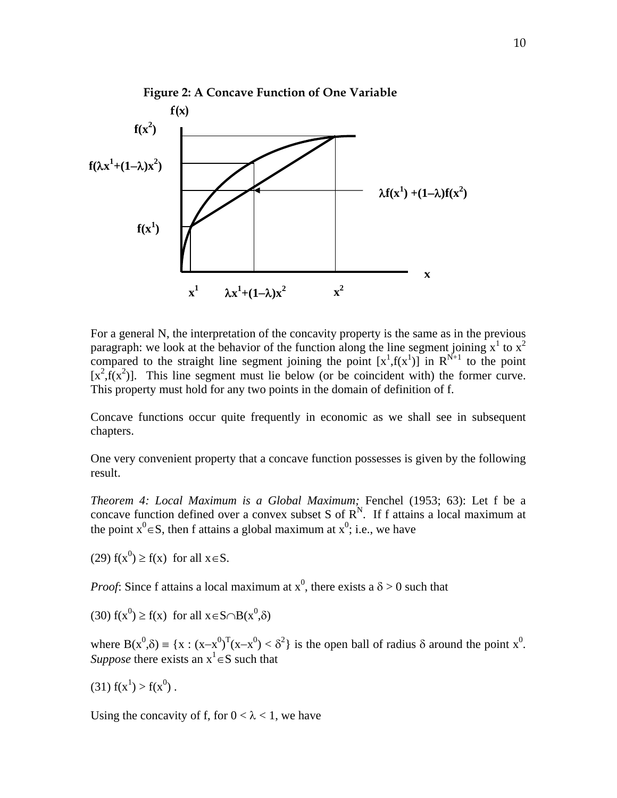

 For a general N, the interpretation of the concavity property is the same as in the previous paragraph: we look at the behavior of the function along the line segment joining  $x^1$  to  $x^2$ compared to the straight line segment joining the point  $[x^1,f(x^1)]$  in  $\mathbb{R}^{N+1}$  to the point  $[x^2, f(x^2)]$ . This line segment must lie below (or be coincident with) the former curve. This property must hold for any two points in the domain of definition of f.

Concave functions occur quite frequently in economic as we shall see in subsequent chapters.

One very convenient property that a concave function possesses is given by the following result.

*Theorem 4: Local Maximum is a Global Maximum;* Fenchel (1953; 63): Let f be a concave function defined over a convex subset S of  $R^N$ . If f attains a local maximum at the point  $x^0 \in S$ , then f attains a global maximum at  $x^0$ ; i.e., we have

(29)  $f(x^0) \ge f(x)$  for all  $x \in S$ .

*Proof*: Since f attains a local maximum at  $x^0$ , there exists a  $\delta > 0$  such that

(30) 
$$
f(x^0) \ge f(x)
$$
 for all  $x \in S \cap B(x^0, \delta)$ 

where  $B(x^0, \delta) = {x : (x-x^0)^T (x-x^0) < \delta^2}$  is the open ball of radius  $\delta$  around the point  $x^0$ . *Suppose* there exists an  $x^1 \in S$  such that

 $(31) f(x^1) > f(x^0)$ .

Using the concavity of f, for  $0 < \lambda < 1$ , we have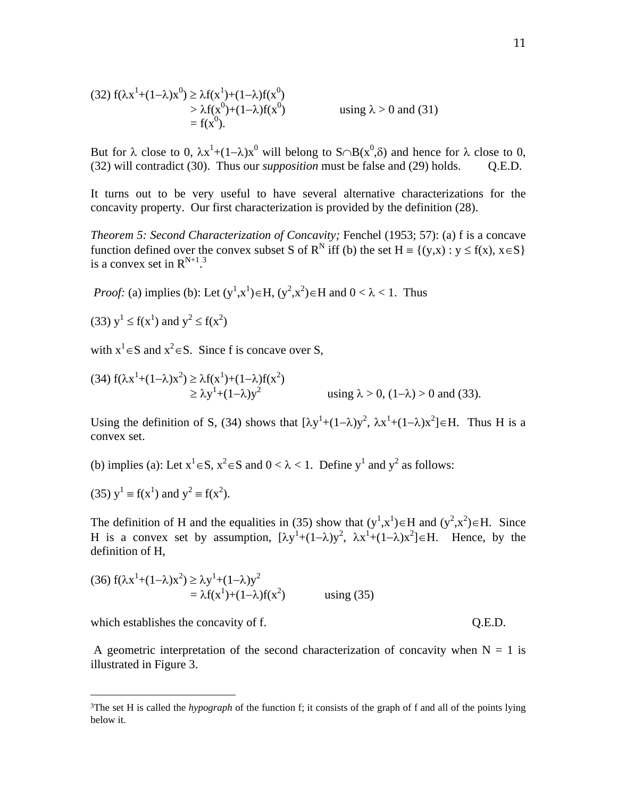(32) 
$$
f(\lambda x^1 + (1-\lambda)x^0) \ge \lambda f(x^1) + (1-\lambda)f(x^0)
$$
  
\n $\ge \lambda f(x^0) + (1-\lambda)f(x^0)$  using  $\lambda > 0$  and (31)  
\n $= f(x^0)$ .

But for  $\lambda$  close to 0,  $\lambda x^1 + (1-\lambda)x^0$  will belong to  $S \cap B(x^0, \delta)$  and hence for  $\lambda$  close to 0, (32) will contradict (30). Thus our *supposition* must be false and (29) holds. Q.E.D.

It turns out to be very useful to have several alternative characterizations for the concavity property. Our first characterization is provided by the definition (28).

*Theorem 5: Second Characterization of Concavity;* Fenchel (1953; 57): (a) f is a concave function defined over the convex subset S of R<sup>N</sup> iff (b) the set H = {(y,x) : y  $\leq$  f(x), x  $\in$  S} is a convex set in  $R^{N+1}$ .<sup>3</sup>

*Proof:* (a) implies (b): Let  $(y^1, x^1) \in H$ ,  $(y^2, x^2) \in H$  and  $0 < \lambda < 1$ . Thus

(33)  $y^1 \le f(x^1)$  and  $y^2 \le f(x^2)$ 

with  $x^1 \in S$  and  $x^2 \in S$ . Since f is concave over S,

(34) 
$$
f(\lambda x^1 + (1-\lambda)x^2) \ge \lambda f(x^1) + (1-\lambda)f(x^2)
$$
  
\n $\ge \lambda y^1 + (1-\lambda)y^2$  using  $\lambda > 0$ ,  $(1-\lambda) > 0$  and (33).

Using the definition of S, (34) shows that  $[\lambda y^1 + (1-\lambda)y^2, \lambda x^1 + (1-\lambda)x^2] \in H$ . Thus H is a convex set.

(b) implies (a): Let  $x^1 \in S$ ,  $x^2 \in S$  and  $0 < \lambda < 1$ . Define  $y^1$  and  $y^2$  as follows:

(35) 
$$
y^1 = f(x^1)
$$
 and  $y^2 = f(x^2)$ .

The definition of H and the equalities in (35) show that  $(y^1, x^1) \in H$  and  $(y^2, x^2) \in H$ . Since H is a convex set by assumption,  $[\lambda y^1 + (1-\lambda)y^2, \lambda x^1 + (1-\lambda)x^2] \in H$ . Hence, by the definition of H,

$$
(36) f(\lambda x^{1} + (1 - \lambda)x^{2}) \ge \lambda y^{1} + (1 - \lambda)y^{2}
$$
  
=  $\lambda f(x^{1}) + (1 - \lambda)f(x^{2})$  using (35)

which establishes the concavity of f.  $Q.E.D.$ 

 $\overline{a}$ 

A geometric interpretation of the second characterization of concavity when  $N = 1$  is illustrated in Figure 3.

<sup>3</sup>The set H is called the *hypograph* of the function f; it consists of the graph of f and all of the points lying below it.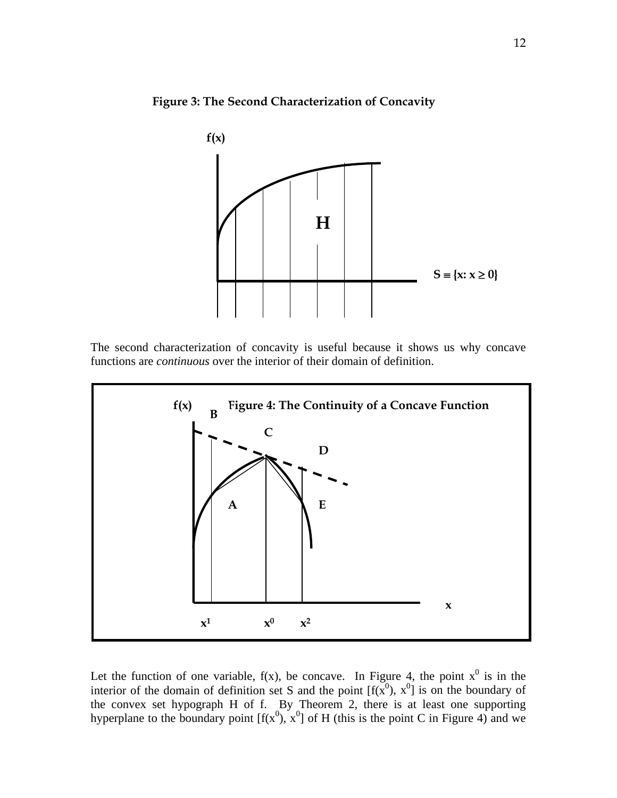



The second characterization of concavity is useful because it shows us why concave functions are *continuous* over the interior of their domain of definition.



Let the function of one variable,  $f(x)$ , be concave. In Figure 4, the point  $x^0$  is in the interior of the domain of definition set S and the point  $[f(x^0), x^0]$  is on the boundary of the convex set hypograph H of f. By Theorem 2, there is at least one supporting hyperplane to the boundary point  $[f(x^0), x^0]$  of H (this is the point C in Figure 4) and we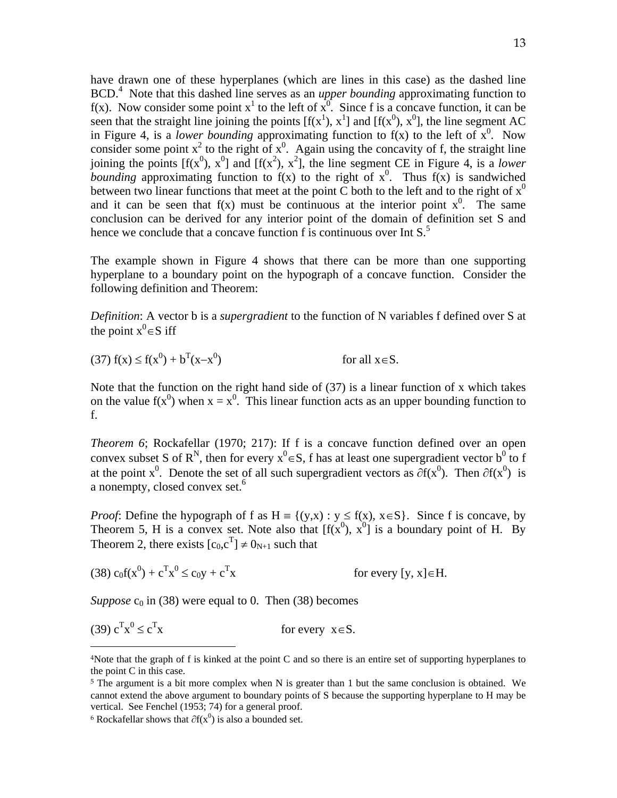have drawn one of these hyperplanes (which are lines in this case) as the dashed line BCD.<sup>4</sup> Note that this dashed line serves as an *upper bounding* approximating function to f(x). Now consider some point  $x^1$  to the left of  $x^0$ . Since f is a concave function, it can be seen that the straight line joining the points  $[f(x^1), x^1]$  and  $[f(x^0), x^0]$ , the line segment AC in Figure 4, is a *lower bounding* approximating function to  $f(x)$  to the left of  $x^0$ . Now consider some point  $x^2$  to the right of  $x^0$ . Again using the concavity of f, the straight line joining the points  $[f(x^0), x^0]$  and  $[f(x^2), x^2]$ , the line segment CE in Figure 4, is a *lower bounding* approximating function to  $f(x)$  to the right of  $x^0$ . Thus  $f(x)$  is sandwiched between two linear functions that meet at the point C both to the left and to the right of  $x^0$ and it can be seen that  $f(x)$  must be continuous at the interior point  $x^0$ . The same conclusion can be derived for any interior point of the domain of definition set S and hence we conclude that a concave function  $f$  is continuous over Int  $S^5$ .

The example shown in Figure 4 shows that there can be more than one supporting hyperplane to a boundary point on the hypograph of a concave function. Consider the following definition and Theorem:

*Definition*: A vector b is a *supergradient* to the function of N variables f defined over S at the point  $x^0 \in S$  iff

(37)  $f(x) \le f(x^0) + b^T(x-x^0)$ for all  $x \in S$ .

Note that the function on the right hand side of (37) is a linear function of x which takes on the value  $f(x^0)$  when  $x = x^0$ . This linear function acts as an upper bounding function to f.

*Theorem 6*; Rockafellar (1970; 217): If f is a concave function defined over an open convex subset S of R<sup>N</sup>, then for every  $x^0 \in S$ , f has at least one supergradient vector b<sup>0</sup> to f at the point x<sup>0</sup>. Denote the set of all such supergradient vectors as  $\partial f(x^0)$ . Then  $\partial f(x^0)$  is a nonempty, closed convex set.<sup>6</sup>

*Proof*: Define the hypograph of f as  $H = \{(y,x) : y \le f(x), x \in S\}$ . Since f is concave, by Theorem 5, H is a convex set. Note also that  $[f(x^0), x^0]$  is a boundary point of H. By Theorem 2, there exists  $[c_0,c^T] \neq 0_{N+1}$  such that

(38)  $c_0 f(x^0) + c^T x^0 \le c_0 y + c^T$ for every [y,  $x \in H$ .

*Suppose*  $c_0$  in (38) were equal to 0. Then (38) becomes

(39)  $c^T x^0 \le c^T$ for every  $x \in S$ .

 $\overline{a}$ 

<sup>4</sup>Note that the graph of f is kinked at the point C and so there is an entire set of supporting hyperplanes to the point C in this case.

<sup>&</sup>lt;sup>5</sup> The argument is a bit more complex when N is greater than 1 but the same conclusion is obtained. We cannot extend the above argument to boundary points of S because the supporting hyperplane to H may be vertical. See Fenchel (1953; 74) for a general proof.

<sup>&</sup>lt;sup>6</sup> Rockafellar shows that  $\partial f(x^0)$  is also a bounded set.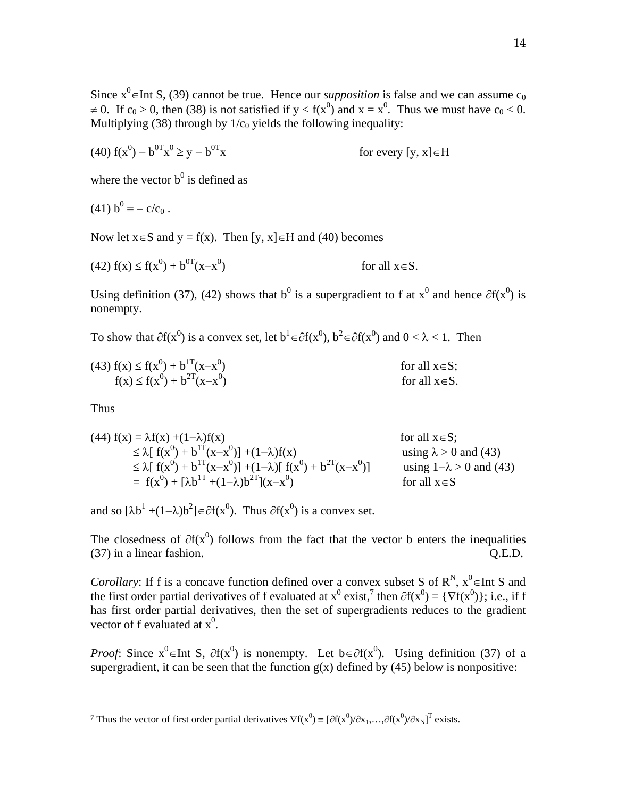Since  $x^0$  = Int S, (39) cannot be true. Hence our *supposition* is false and we can assume  $c_0$  $\neq$  0. If c<sub>0</sub> > 0, then (38) is not satisfied if y < f(x<sup>0</sup>) and x = x<sup>0</sup>. Thus we must have c<sub>0</sub> < 0. Multiplying (38) through by  $1/c_0$  yields the following inequality:

(40) 
$$
f(x^0) - b^{0T}x^0 \ge y - b^{0T}x
$$
 for every  $[y, x] \in H$ 

where the vector  $b^0$  is defined as

(41) 
$$
b^0 = -c/c_0
$$
.

Now let  $x \in S$  and  $y = f(x)$ . Then [y, x]  $\in$  H and (40) becomes

$$
(42) f(x) \le f(x^0) + b^{0T}(x-x^0) \qquad \text{for all } x \in S.
$$

Using definition (37), (42) shows that  $b^0$  is a supergradient to f at  $x^0$  and hence  $\partial f(x^0)$  is nonempty.

To show that  $\partial f(x^0)$  is a convex set, let  $b^1 \in \partial f(x^0)$ ,  $b^2 \in \partial f(x^0)$  and  $0 < \lambda < 1$ . Then

| $(43) f(x) \le f(x^0) + b^{1T}(x-x^0)$ | for all $x \in S$ : |
|----------------------------------------|---------------------|
| $f(x) \le f(x^0) + b^{2T}(x-x^0)$      | for all $x \in S$ . |

Thus

 $\overline{a}$ 

(44) 
$$
f(x) = \lambda f(x) + (1-\lambda)f(x)
$$
 for all  $x \in S$ ;  
\n $\leq \lambda [f(x^0) + b^{1T}(x-x^0)] + (1-\lambda)f(x)$  for all  $x \in S$ ;  
\n $\leq \lambda [f(x^0) + b^{1T}(x-x^0)] + (1-\lambda)[f(x^0) + b^{2T}(x-x^0)]$  using  $\lambda > 0$  and (43)  
\n $= f(x^0) + [\lambda b^{1T} + (1-\lambda)b^{2T}](x-x^0)$  for all  $x \in S$ 

and so  $[\lambda b^1 + (1-\lambda)b^2] \in \partial f(x^0)$ . Thus  $\partial f(x^0)$  is a convex set.

The closedness of  $\partial f(x^0)$  follows from the fact that the vector b enters the inequalities (37) in a linear fashion. Q.E.D.

*Corollary*: If f is a concave function defined over a convex subset S of  $\mathbb{R}^N$ ,  $x^0 \in$  Int S and the first order partial derivatives of f evaluated at  $x^0$  exist,<sup>7</sup> then  $\partial f(x^0) = \{\nabla f(x^0)\}\;$ , i.e., if f has first order partial derivatives, then the set of supergradients reduces to the gradient vector of f evaluated at  $x^0$ .

*Proof*: Since  $x^0 \in Int S$ ,  $\partial f(x^0)$  is nonempty. Let  $b \in \partial f(x^0)$ . Using definition (37) of a supergradient, it can be seen that the function  $g(x)$  defined by (45) below is nonpositive:

<sup>&</sup>lt;sup>7</sup> Thus the vector of first order partial derivatives  $\nabla f(x^0) = [\partial f(x^0)/\partial x_1,...,\partial f(x^0)/\partial x_N]^T$  exists.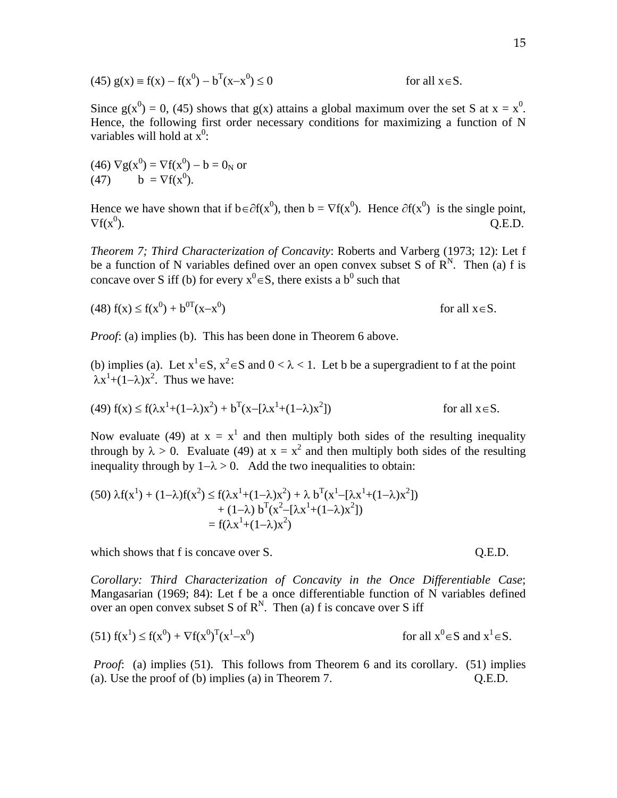(45) 
$$
g(x) = f(x) - f(x^0) - b^T(x - x^0) \le 0
$$

Since  $g(x^0) = 0$ , (45) shows that  $g(x)$  attains a global maximum over the set S at  $x = x^0$ . Hence, the following first order necessary conditions for maximizing a function of N variables will hold at  $x^0$ :

(46)  $\nabla g(x^0) = \nabla f(x^0) - b = 0_N$  or (47)  $b = \nabla f(x^0)$ .

Hence we have shown that if  $b \in \partial f(x^0)$ , then  $b = \nabla f(x^0)$ . Hence  $\partial f(x^0)$  is the single point,  $\nabla f(x^0)$ .  $Q.E.D.$ 

*Theorem 7; Third Characterization of Concavity*: Roberts and Varberg (1973; 12): Let f be a function of N variables defined over an open convex subset S of  $\mathbb{R}^{N}$ . Then (a) f is concave over S iff (b) for every  $x^0 \in S$ , there exists a b<sup>0</sup> such that

$$
(48) f(x) \le f(x^0) + b^{0T}(x-x^0) \qquad \text{for all } x \in S.
$$

*Proof*: (a) implies (b). This has been done in Theorem 6 above.

(b) implies (a). Let  $x^1 \in S$ ,  $x^2 \in S$  and  $0 < \lambda < 1$ . Let b be a supergradient to f at the point  $\lambda x^1 + (1-\lambda)x^2$ . Thus we have:

(49) 
$$
f(x) \le f(\lambda x^1 + (1 - \lambda)x^2) + b^T(x - [\lambda x^1 + (1 - \lambda)x^2])
$$
 for all  $x \in S$ .

Now evaluate (49) at  $x = x^1$  and then multiply both sides of the resulting inequality through by  $\lambda > 0$ . Evaluate (49) at  $x = x^2$  and then multiply both sides of the resulting inequality through by  $1 - \lambda > 0$ . Add the two inequalities to obtain:

$$
(50)\ \lambda f(x^{1}) + (1-\lambda)f(x^{2}) \le f(\lambda x^{1} + (1-\lambda)x^{2}) + \lambda b^{T}(x^{1} - [\lambda x^{1} + (1-\lambda)x^{2}])
$$
  
+ (1-\lambda) b^{T}(x^{2} - [\lambda x^{1} + (1-\lambda)x^{2}])  
= f(\lambda x^{1} + (1-\lambda)x^{2})

which shows that f is concave over S. C.E.D.

*Corollary: Third Characterization of Concavity in the Once Differentiable Case*; Mangasarian (1969; 84): Let f be a once differentiable function of N variables defined over an open convex subset S of  $R^N$ . Then (a) f is concave over S iff

(51) 
$$
f(x^1) \le f(x^0) + \nabla f(x^0)^T (x^1 - x^0)
$$
 for all  $x^0 \in S$  and  $x^1 \in S$ .

*Proof*: (a) implies (51). This follows from Theorem 6 and its corollary. (51) implies (a). Use the proof of (b) implies (a) in Theorem 7. Q.E.D.

for all  $x \in S$ .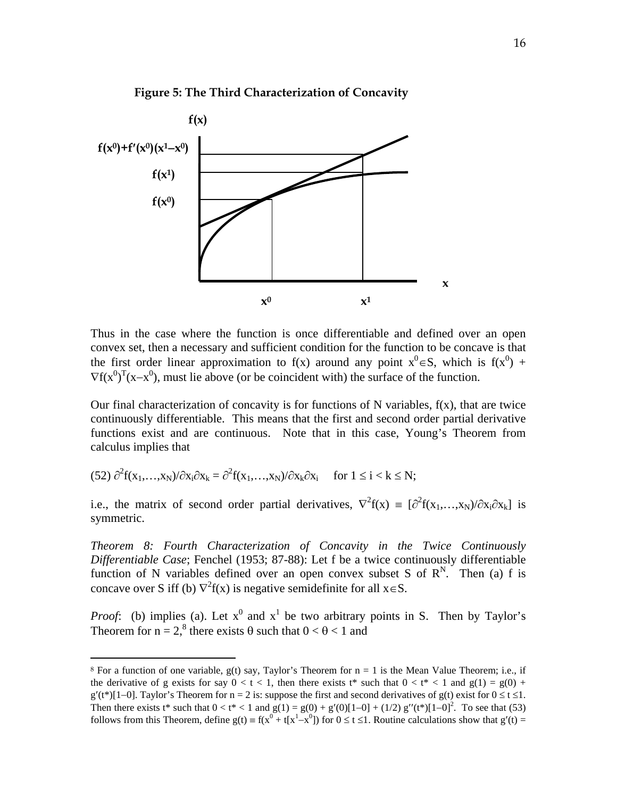



Thus in the case where the function is once differentiable and defined over an open convex set, then a necessary and sufficient condition for the function to be concave is that the first order linear approximation to f(x) around any point  $x^0 \in S$ , which is  $f(x^0)$  +  $\nabla f(x^0)^T (x-x^0)$ , must lie above (or be coincident with) the surface of the function.

Our final characterization of concavity is for functions of  $N$  variables,  $f(x)$ , that are twice continuously differentiable. This means that the first and second order partial derivative functions exist and are continuous. Note that in this case, Young's Theorem from calculus implies that

(52)  $\partial^2 f(x_1,...,x_N)/\partial x_i \partial x_k = \partial^2 f(x_1,...,x_N)/\partial x_k \partial x_i$  for  $1 \le i \le k \le N$ ;

<u>.</u>

i.e., the matrix of second order partial derivatives,  $\nabla^2 f(x) = [\partial^2 f(x_1,...,x_N)/\partial x_i \partial x_k]$  is symmetric.

*Theorem 8: Fourth Characterization of Concavity in the Twice Continuously Differentiable Case*; Fenchel (1953; 87-88): Let f be a twice continuously differentiable function of N variables defined over an open convex subset S of  $\mathbb{R}^{N}$ . Then (a) f is concave over S iff (b)  $\nabla^2 f(x)$  is negative semidefinite for all  $x \in S$ .

*Proof*: (b) implies (a). Let  $x^0$  and  $x^1$  be two arbitrary points in S. Then by Taylor's Theorem for  $n = 2$ ,<sup>8</sup> there exists  $\theta$  such that  $0 < \theta < 1$  and

<sup>&</sup>lt;sup>8</sup> For a function of one variable, g(t) say, Taylor's Theorem for  $n = 1$  is the Mean Value Theorem; i.e., if the derivative of g exists for say  $0 < t < 1$ , then there exists t<sup>\*</sup> such that  $0 < t^* < 1$  and  $g(1) = g(0) +$  $g'(t^*)[1-0]$ . Taylor's Theorem for  $n = 2$  is: suppose the first and second derivatives of  $g(t)$  exist for  $0 \le t \le 1$ . Then there exists t\* such that  $0 < t^* < 1$  and  $g(1) = g(0) + g'(0)[1-0] + (1/2) g''(t^*)[1-0]^2$ . To see that (53) follows from this Theorem, define  $g(t) = f(x^0 + t[x^1 - x^0])$  for  $0 \le t \le 1$ . Routine calculations show that  $g'(t) =$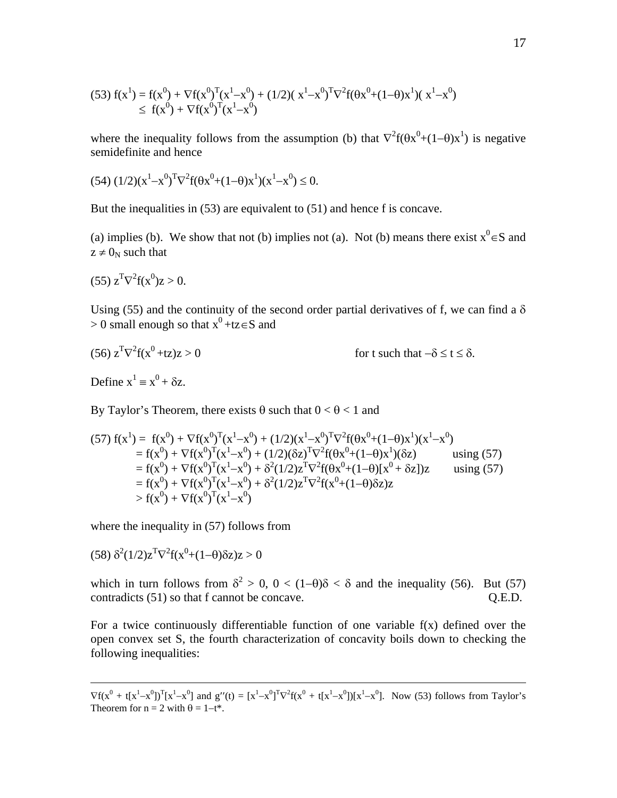(53) 
$$
f(x^1) = f(x^0) + \nabla f(x^0)^T (x^1 - x^0) + (1/2)(x^1 - x^0)^T \nabla^2 f(\theta x^0 + (1 - \theta) x^1) (x^1 - x^0)
$$
  
\n $\leq f(x^0) + \nabla f(x^0)^T (x^1 - x^0)$ 

where the inequality follows from the assumption (b) that  $\nabla^2 f(\theta x^0 + (1-\theta)x^1)$  is negative semidefinite and hence

$$
(54) (1/2) (x1 – x0)T ∇2 f(θx0 + (1-θ)x1)(x1 – x0) ≤ 0.
$$

But the inequalities in (53) are equivalent to (51) and hence f is concave.

(a) implies (b). We show that not (b) implies not (a). Not (b) means there exist  $x^0 \in S$  and  $z \neq 0_N$  such that

$$
(55) \, z^T \nabla^2 f(x^0) z > 0.
$$

Using (55) and the continuity of the second order partial derivatives of f, we can find a  $\delta$  $> 0$  small enough so that  $x^0 + tz \in S$  and

(56) 
$$
z^T \nabla^2 f(x^0 + tz)z > 0
$$
 for t such that  $-\delta \le t \le \delta$ .

Define  $x^1 \equiv x^0 + \delta z$ .

-

By Taylor's Theorem, there exists  $\theta$  such that  $0 < \theta < 1$  and

$$
(57) f(x1) = f(x0) + \nabla f(x0)T(x1 - x0) + (1/2)(x1 - x0)T \nabla2 f(\theta x0 + (1-\theta)x1)(x1 - x0)= f(x0) + \nabla f(x0)T(x1 - x0) + (1/2)(\delta z)T \nabla2 f(\theta x0 + (1-\theta)x1)(\delta z) using (57)= f(x0) + \nabla f(x0)T(x1 - x0) + \delta2(1/2)zT \nabla2 f(\theta x0 + (1-\theta)[x0 + \delta z])z using (57)= f(x0) + \nabla f(x0)T(x1 - x0) + \delta2(1/2)zT \nabla2 f(x0 + (1-\theta)\delta z)z> f(x0) + \nabla f(x0)T(x1 - x0)
$$

where the inequality in  $(57)$  follows from

$$
(58) \delta^{2}(1/2)z^{T}\nabla^{2}f(x^{0}+(1-\theta)\delta z)z > 0
$$

which in turn follows from  $\delta^2 > 0$ ,  $0 < (1-\theta)\delta < \delta$  and the inequality (56). But (57) contradicts (51) so that f cannot be concave. Q.E.D.

For a twice continuously differentiable function of one variable f(x) defined over the open convex set S, the fourth characterization of concavity boils down to checking the following inequalities:

 $\nabla f(x^0 + t[x^1 - x^0])^T [x^1 - x^0]$  and  $g''(t) = [x^1 - x^0]^T \nabla^2 f(x^0 + t[x^1 - x^0])[x^1 - x^0]$ . Now (53) follows from Taylor's Theorem for  $n = 2$  with  $\theta = 1-t^*$ .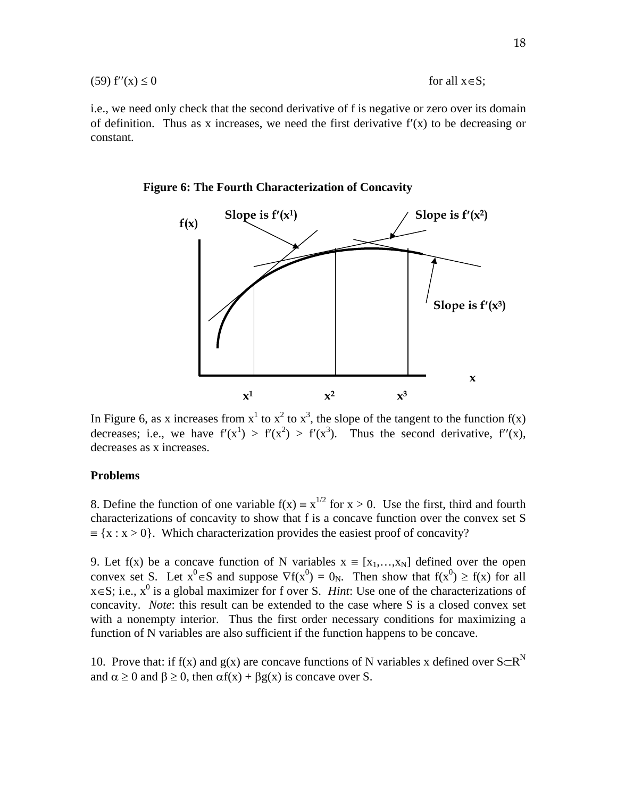$$
(59) f''(x) \le 0 \t\t for all x \in S;
$$

i.e., we need only check that the second derivative of f is negative or zero over its domain of definition. Thus as x increases, we need the first derivative  $f'(x)$  to be decreasing or constant.



**Figure 6: The Fourth Characterization of Concavity** 

In Figure 6, as x increases from  $x^1$  to  $x^2$  to  $x^3$ , the slope of the tangent to the function  $f(x)$ decreases; i.e., we have  $f'(x^1) > f'(x^2) > f'(x^3)$ . Thus the second derivative,  $f''(x)$ , decreases as x increases.

#### **Problems**

8. Define the function of one variable  $f(x) = x^{1/2}$  for  $x > 0$ . Use the first, third and fourth characterizations of concavity to show that f is a concave function over the convex set S  $=\{x : x > 0\}$ . Which characterization provides the easiest proof of concavity?

9. Let f(x) be a concave function of N variables  $x = [x_1,...,x_N]$  defined over the open convex set S. Let  $x^0 \in S$  and suppose  $\nabla f(x^0) = 0_N$ . Then show that  $f(x^0) \ge f(x)$  for all  $x \in S$ ; i.e.,  $x^0$  is a global maximizer for f over S. *Hint*: Use one of the characterizations of concavity. *Note*: this result can be extended to the case where S is a closed convex set with a nonempty interior. Thus the first order necessary conditions for maximizing a function of N variables are also sufficient if the function happens to be concave.

10. Prove that: if f(x) and g(x) are concave functions of N variables x defined over  $S\subset R^N$ and  $\alpha \ge 0$  and  $\beta \ge 0$ , then  $\alpha f(x) + \beta g(x)$  is concave over S.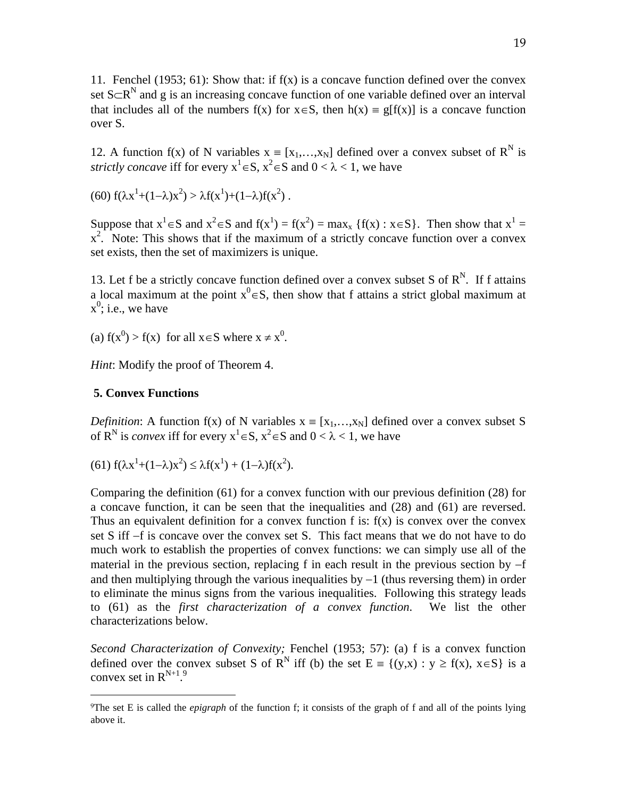11. Fenchel (1953; 61): Show that: if  $f(x)$  is a concave function defined over the convex set  $S \subset R^N$  and g is an increasing concave function of one variable defined over an interval that includes all of the numbers  $f(x)$  for  $x \in S$ , then  $h(x) = g[f(x)]$  is a concave function over S.

12. A function f(x) of N variables  $x = [x_1,...,x_N]$  defined over a convex subset of R<sup>N</sup> is *strictly concave* iff for every  $x^1 \in S$ ,  $x^2 \in S$  and  $0 < \lambda < 1$ , we have

(60)  $f(\lambda x^1 + (1-\lambda)x^2) > \lambda f(x^1) + (1-\lambda)f(x^2)$ .

Suppose that  $x^1 \in S$  and  $x^2 \in S$  and  $f(x^1) = f(x^2) = max_x \{f(x) : x \in S\}$ . Then show that  $x^1 =$  $x^2$ . Note: This shows that if the maximum of a strictly concave function over a convex set exists, then the set of maximizers is unique.

13. Let f be a strictly concave function defined over a convex subset S of  $R^N$ . If f attains a local maximum at the point  $x^0 \in S$ , then show that f attains a strict global maximum at  $x^0$ ; i.e., we have

(a)  $f(x^0) > f(x)$  for all  $x \in S$  where  $x \neq x^0$ .

*Hint*: Modify the proof of Theorem 4.

### **5. Convex Functions**

 $\overline{a}$ 

*Definition*: A function f(x) of N variables  $x = [x_1, \ldots, x_N]$  defined over a convex subset S of R<sup>N</sup> is *convex* iff for every  $x^1 \in S$ ,  $x^2 \in S$  and  $0 < \lambda < 1$ , we have

(61)  $f(\lambda x^1 + (1-\lambda)x^2) \leq \lambda f(x^1) + (1-\lambda)f(x^2)$ .

Comparing the definition (61) for a convex function with our previous definition (28) for a concave function, it can be seen that the inequalities and (28) and (61) are reversed. Thus an equivalent definition for a convex function f is:  $f(x)$  is convex over the convex set S iff  $-f$  is concave over the convex set S. This fact means that we do not have to do much work to establish the properties of convex functions: we can simply use all of the material in the previous section, replacing f in each result in the previous section by  $-f$ and then multiplying through the various inequalities by  $-1$  (thus reversing them) in order to eliminate the minus signs from the various inequalities. Following this strategy leads to (61) as the *first characterization of a convex function*. We list the other characterizations below.

*Second Characterization of Convexity;* Fenchel (1953; 57): (a) f is a convex function defined over the convex subset S of R<sup>N</sup> iff (b) the set E = {(y,x) : y  $\geq$  f(x), x \le S \eq is a convex set in  $R^{N+1.9}$ .

<sup>9</sup>The set E is called the *epigraph* of the function f; it consists of the graph of f and all of the points lying above it.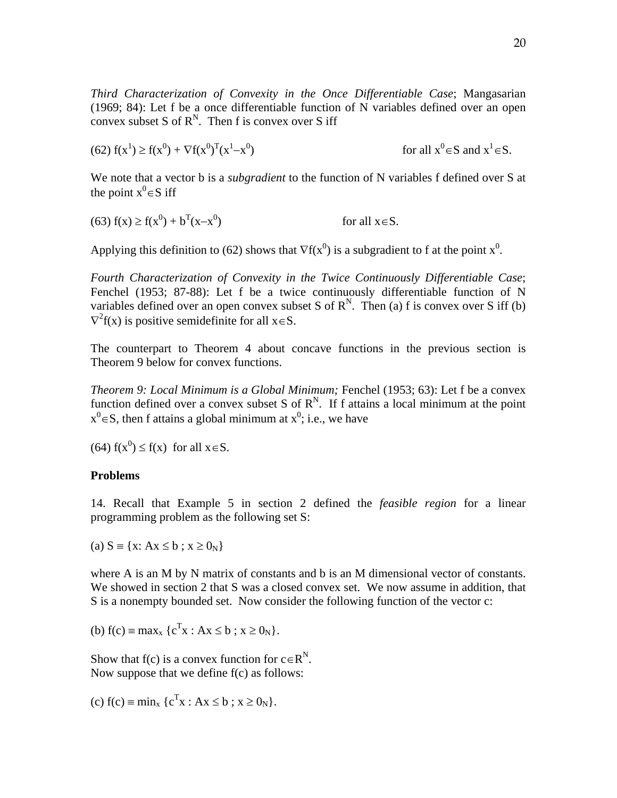*Third Characterization of Convexity in the Once Differentiable Case*; Mangasarian (1969; 84): Let f be a once differentiable function of N variables defined over an open convex subset S of  $R^N$ . Then f is convex over S iff

(62) 
$$
f(x^1) \ge f(x^0) + \nabla f(x^0)^T (x^1 - x^0)
$$
 for all  $x^0 \in S$  and  $x^1 \in S$ .

We note that a vector b is a *subgradient* to the function of N variables f defined over S at the point  $x^0 \in S$  iff

(63)  $f(x) \ge f(x^0) + b^T(x-x^0)$ for all  $x \in S$ .

Applying this definition to (62) shows that  $\nabla f(x^0)$  is a subgradient to f at the point  $x^0$ .

*Fourth Characterization of Convexity in the Twice Continuously Differentiable Case*; Fenchel (1953; 87-88): Let f be a twice continuously differentiable function of N variables defined over an open convex subset S of  $R^N$ . Then (a) f is convex over S iff (b)  $\nabla^2 f(x)$  is positive semidefinite for all  $x \in S$ .

The counterpart to Theorem 4 about concave functions in the previous section is Theorem 9 below for convex functions.

*Theorem 9: Local Minimum is a Global Minimum;* Fenchel (1953; 63): Let f be a convex function defined over a convex subset S of  $R^N$ . If f attains a local minimum at the point  $x^0 \in S$ , then f attains a global minimum at  $x^0$ ; i.e., we have

(64)  $f(x^0) \le f(x)$  for all  $x \in S$ .

# **Problems**

14. Recall that Example 5 in section 2 defined the *feasible region* for a linear programming problem as the following set S:

(a)  $S \equiv \{x: Ax \leq b ; x \geq 0_N\}$ 

where A is an M by N matrix of constants and b is an M dimensional vector of constants. We showed in section 2 that S was a closed convex set. We now assume in addition, that S is a nonempty bounded set. Now consider the following function of the vector c:

(b) 
$$
f(c) = max_x \{c^T x : Ax \le b : x \ge 0_N\}.
$$

Show that f(c) is a convex function for  $c \in R^N$ . Now suppose that we define f(c) as follows:

(c)  $f(c) = min_x {c^T x : Ax \le b ; x \ge 0_N}.$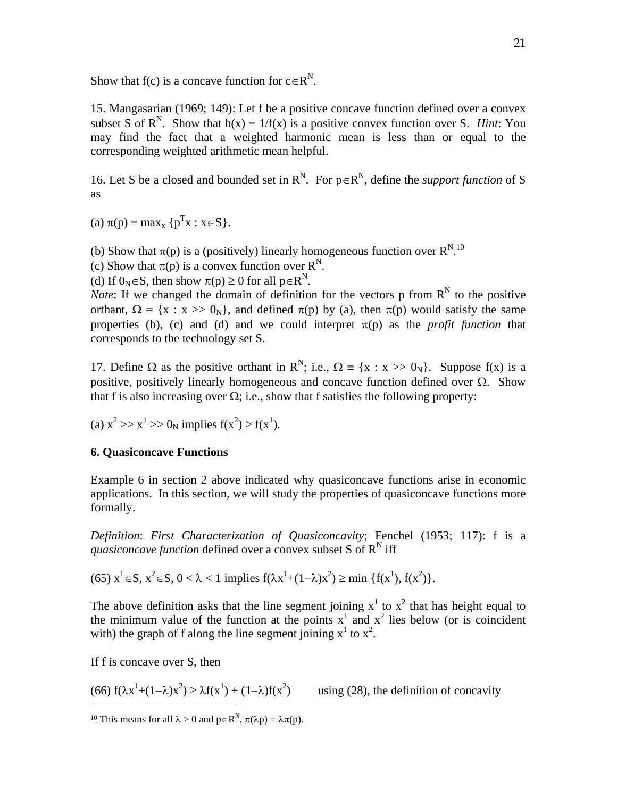Show that f(c) is a concave function for  $c \in R^N$ .

15. Mangasarian (1969; 149): Let f be a positive concave function defined over a convex subset S of  $R^N$ . Show that  $h(x) = 1/f(x)$  is a positive convex function over S. *Hint*: You may find the fact that a weighted harmonic mean is less than or equal to the corresponding weighted arithmetic mean helpful.

16. Let S be a closed and bounded set in  $R^N$ . For  $p \in R^N$ , define the *support function* of S as

(a)  $\pi(p) = \max_{x} {p^{T}x : x \in S}.$ 

(b) Show that  $\pi(p)$  is a (positively) linearly homogeneous function over  $R^{N,10}$ 

(c) Show that  $\pi(p)$  is a convex function over  $R^N$ .

(d) If  $0_N \in S$ , then show  $\pi(p) \ge 0$  for all  $p \in R^N$ .

*Note*: If we changed the domain of definition for the vectors p from  $R^N$  to the positive orthant,  $\Omega = \{x : x \gg 0_N\}$ , and defined  $\pi(p)$  by (a), then  $\pi(p)$  would satisfy the same properties (b), (c) and (d) and we could interpret  $\pi(p)$  as the *profit function* that corresponds to the technology set S.

17. Define  $\Omega$  as the positive orthant in R<sup>N</sup>; i.e.,  $\Omega = \{x : x \gg 0_N\}$ . Suppose f(x) is a positive, positively linearly homogeneous and concave function defined over  $\Omega$ . Show that f is also increasing over  $\Omega$ ; i.e., show that f satisfies the following property:

(a) 
$$
x^2 >> x^1 >> 0_N
$$
 implies  $f(x^2) > f(x^1)$ .

# **6. Quasiconcave Functions**

Example 6 in section 2 above indicated why quasiconcave functions arise in economic applications. In this section, we will study the properties of quasiconcave functions more formally.

*Definition*: *First Characterization of Quasiconcavity*; Fenchel (1953; 117): f is a *quasiconcave function* defined over a convex subset S of  $R^N$  iff

(65) 
$$
x^1 \in S
$$
,  $x^2 \in S$ ,  $0 < \lambda < 1$  implies  $f(\lambda x^1 + (1-\lambda)x^2) \ge \min \{f(x^1), f(x^2)\}.$ 

The above definition asks that the line segment joining  $x^1$  to  $x^2$  that has height equal to the minimum value of the function at the points  $x^1$  and  $x^2$  lies below (or is coincident with) the graph of f along the line segment joining  $x^1$  to  $x^2$ .

If f is concave over S, then

-

 $(66) f(\lambda x^1 + (1-\lambda)x^2) \ge \lambda f(x^1) + (1-\lambda)f(x^2)$ 

using  $(28)$ , the definition of concavity

<sup>&</sup>lt;sup>10</sup> This means for all  $\lambda > 0$  and  $p \in R^N$ ,  $\pi(\lambda p) = \lambda \pi(p)$ .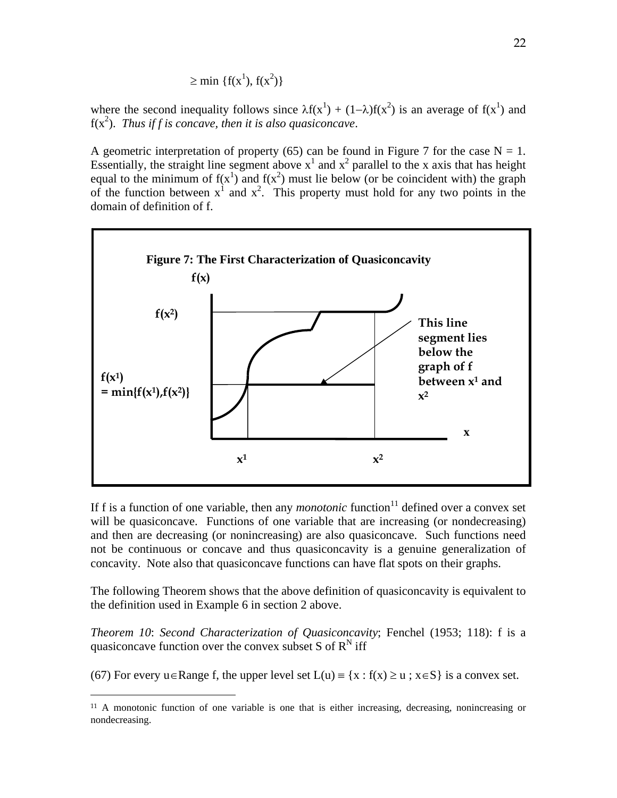$$
\geq \min \left\{ f(x^1), f(x^2) \right\}
$$

where the second inequality follows since  $\lambda f(x^1) + (1-\lambda)f(x^2)$  is an average of  $f(x^1)$  and  $f(x^2)$ . *Thus if f is concave, then it is also quasiconcave.* 

A geometric interpretation of property (65) can be found in Figure 7 for the case  $N = 1$ . Essentially, the straight line segment above  $x^1$  and  $x^2$  parallel to the x axis that has height equal to the minimum of  $f(x^1)$  and  $f(x^2)$  must lie below (or be coincident with) the graph of the function between  $x^1$  and  $x^2$ . This property must hold for any two points in the domain of definition of f.



If f is a function of one variable, then any *monotonic* function $11$  defined over a convex set will be quasiconcave. Functions of one variable that are increasing (or nondecreasing) and then are decreasing (or nonincreasing) are also quasiconcave. Such functions need not be continuous or concave and thus quasiconcavity is a genuine generalization of concavity. Note also that quasiconcave functions can have flat spots on their graphs.

The following Theorem shows that the above definition of quasiconcavity is equivalent to the definition used in Example 6 in section 2 above.

*Theorem 10*: *Second Characterization of Quasiconcavity*; Fenchel (1953; 118): f is a quasiconcave function over the convex subset S of  $R^N$  iff

(67) For every  $u \in R$ ange f, the upper level set  $L(u) = \{x : f(x) \ge u : x \in S\}$  is a convex set.

 $\overline{a}$ 

<sup>11</sup> A monotonic function of one variable is one that is either increasing, decreasing, nonincreasing or nondecreasing.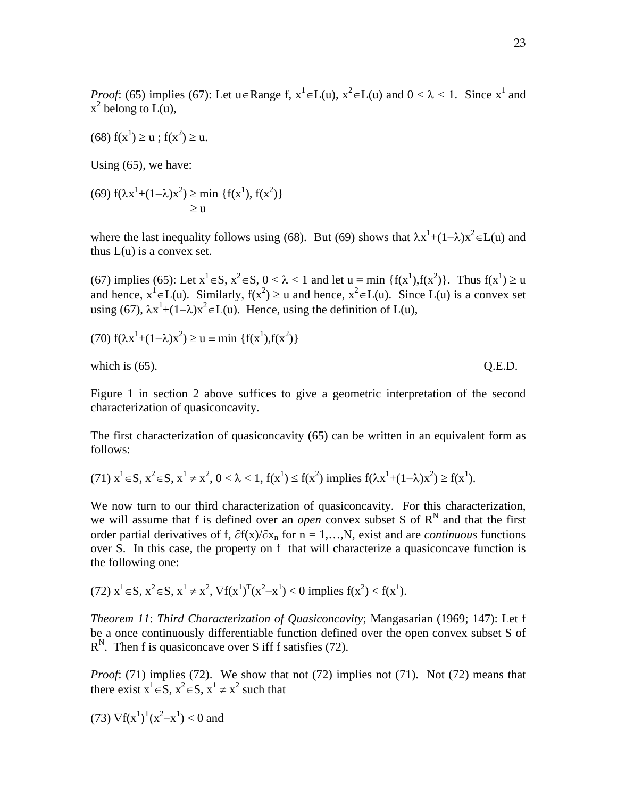*Proof*: (65) implies (67): Let  $u \in \text{Range } f$ ,  $x^1 \in L(u)$ ,  $x^2 \in L(u)$  and  $0 < \lambda < 1$ . Since  $x^1$  and  $x^2$  belong to L(u),

$$
(68) f(x1) \ge u ; f(x2) \ge u.
$$

Using (65), we have:

(69) 
$$
f(\lambda x^1 + (1 - \lambda)x^2) \ge \min \{f(x^1), f(x^2)\}\
$$
  
 $\ge u$ 

where the last inequality follows using (68). But (69) shows that  $\lambda x^1 + (1-\lambda)x^2 \in L(u)$  and thus  $L(u)$  is a convex set.

(67) implies (65): Let  $x^1 \in S$ ,  $x^2 \in S$ ,  $0 < \lambda < 1$  and let  $u = \min \{f(x^1), f(x^2)\}\)$ . Thus  $f(x^1) \ge u$ and hence,  $x^1 \in L(u)$ . Similarly,  $f(x^2) \ge u$  and hence,  $x^2 \in L(u)$ . Since  $L(u)$  is a convex set using (67),  $\lambda x^1 + (1-\lambda)x^2 \in L(u)$ . Hence, using the definition of  $L(u)$ ,

(70) 
$$
f(\lambda x^1 + (1 - \lambda)x^2) \ge u = \min \{f(x^1), f(x^2)\}\
$$

which is  $(65)$ . Q.E.D.

Figure 1 in section 2 above suffices to give a geometric interpretation of the second characterization of quasiconcavity.

The first characterization of quasiconcavity (65) can be written in an equivalent form as follows:

(71) 
$$
x^1 \in S
$$
,  $x^2 \in S$ ,  $x^1 \neq x^2$ ,  $0 < \lambda < 1$ ,  $f(x^1) \leq f(x^2)$  implies  $f(\lambda x^1 + (1 - \lambda)x^2) \geq f(x^1)$ .

We now turn to our third characterization of quasiconcavity. For this characterization, we will assume that f is defined over an *open* convex subset S of  $R^N$  and that the first order partial derivatives of f,  $\partial f(x)/\partial x_n$  for  $n = 1,...,N$ , exist and are *continuous* functions over S. In this case, the property on f that will characterize a quasiconcave function is the following one:

(72) 
$$
x^1 \in S
$$
,  $x^2 \in S$ ,  $x^1 \neq x^2$ ,  $\nabla f(x^1)^T (x^2 - x^1) < 0$  implies  $f(x^2) < f(x^1)$ .

*Theorem 11*: *Third Characterization of Quasiconcavity*; Mangasarian (1969; 147): Let f be a once continuously differentiable function defined over the open convex subset S of  $R^N$ . Then f is quasiconcave over S iff f satisfies (72).

*Proof*: (71) implies (72). We show that not (72) implies not (71). Not (72) means that there exist  $x^1 \in S$ ,  $x^2 \in S$ ,  $x^1 \neq x^2$  such that

(73) 
$$
\nabla f(x^1)^T (x^2 - x^1) < 0
$$
 and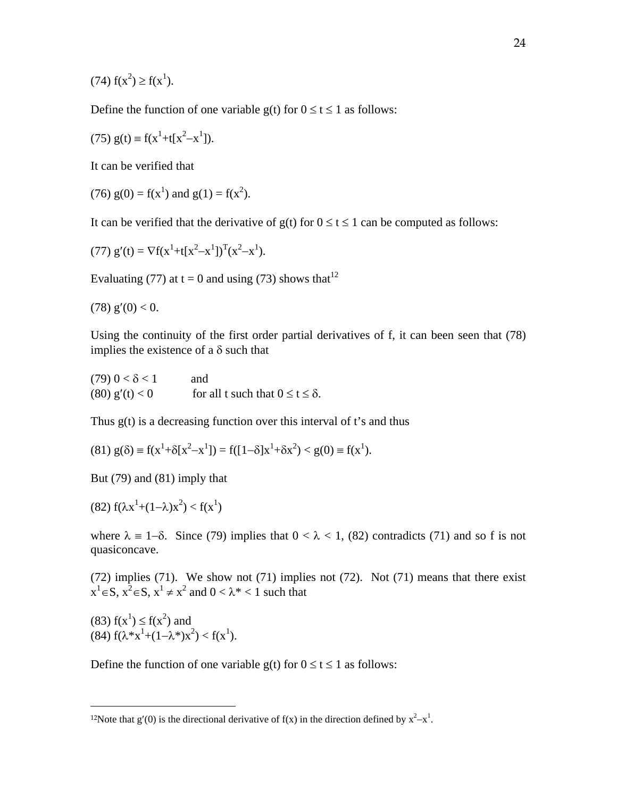$(74)$   $f(x^2) \ge f(x^1)$ .

Define the function of one variable  $g(t)$  for  $0 \le t \le 1$  as follows:

(75) 
$$
g(t) \equiv f(x^1 + t[x^2 - x^1])
$$
.

It can be verified that

(76)  $g(0) = f(x^1)$  and  $g(1) = f(x^2)$ .

It can be verified that the derivative of  $g(t)$  for  $0 \le t \le 1$  can be computed as follows:

(77) 
$$
g'(t) = \nabla f(x^1 + t[x^2 - x^1])^T (x^2 - x^1)
$$
.

Evaluating (77) at t = 0 and using (73) shows that  $12$ 

$$
(78) g'(0) < 0.
$$

Using the continuity of the first order partial derivatives of f, it can been seen that (78) implies the existence of a  $\delta$  such that

 $(79)$  0 <  $\delta$  < 1 and (80)  $g'(t) < 0$  for all t such that  $0 \le t \le \delta$ .

Thus  $g(t)$  is a decreasing function over this interval of t's and thus

$$
(81) g(\delta) \equiv f(x^1 + \delta[x^2 - x^1]) = f([1 - \delta]x^1 + \delta x^2) < g(0) \equiv f(x^1).
$$

But (79) and (81) imply that

(82)  $f(\lambda x^1 + (1 - \lambda)x^2) < f(x^1)$ 

where  $\lambda = 1-\delta$ . Since (79) implies that  $0 < \lambda < 1$ , (82) contradicts (71) and so f is not quasiconcave.

(72) implies (71). We show not (71) implies not (72). Not (71) means that there exist  $x<sup>1</sup> \in S$ ,  $x<sup>2</sup> \in S$ ,  $x<sup>1</sup> \neq x<sup>2</sup>$  and  $0 < \lambda^* < 1$  such that

(83)  $f(x^1) \le f(x^2)$  and (84)  $f(\lambda^*x^1+(1-\lambda^*)x^2) < f(x^1)$ .

 $\overline{a}$ 

Define the function of one variable  $g(t)$  for  $0 \le t \le 1$  as follows:

<sup>&</sup>lt;sup>12</sup>Note that g'(0) is the directional derivative of f(x) in the direction defined by  $x^2-x^1$ .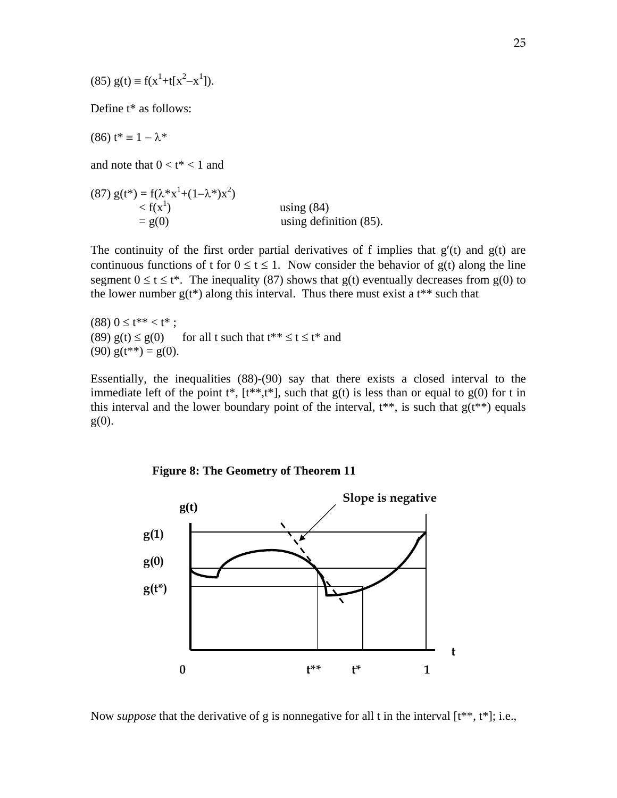(85) 
$$
g(t) \equiv f(x^1 + t[x^2 - x^1])
$$
.

Define t\* as follows:

(86)  $t^* \equiv 1 - \lambda^*$ 

and note that  $0 < t^* < 1$  and

(87)  $g(t^*) = f(\lambda^* x^1 + (1 - \lambda^*) x^2)$  $\langle f(x^1)$  using (84)  $= g(0)$  using definition (85).

The continuity of the first order partial derivatives of f implies that  $g'(t)$  and  $g(t)$  are continuous functions of t for  $0 \le t \le 1$ . Now consider the behavior of  $g(t)$  along the line segment  $0 \le t \le t^*$ . The inequality (87) shows that g(t) eventually decreases from g(0) to the lower number  $g(t^*)$  along this interval. Thus there must exist a  $t^{**}$  such that

 $(88)$   $0 \le t^{**} < t^*$ ; (89)  $g(t) \le g(0)$  for all t such that  $t^{**} \le t \le t^*$  and (90)  $g(t^{**}) = g(0)$ .

Essentially, the inequalities (88)-(90) say that there exists a closed interval to the immediate left of the point  $t^*$ ,  $[t^{**},t^*]$ , such that  $g(t)$  is less than or equal to  $g(0)$  for t in this interval and the lower boundary point of the interval,  $t^{**}$ , is such that  $g(t^{**})$  equals  $g(0)$ .





Now *suppose* that the derivative of g is nonnegative for all t in the interval  $[t^{**}, t^*]$ ; i.e.,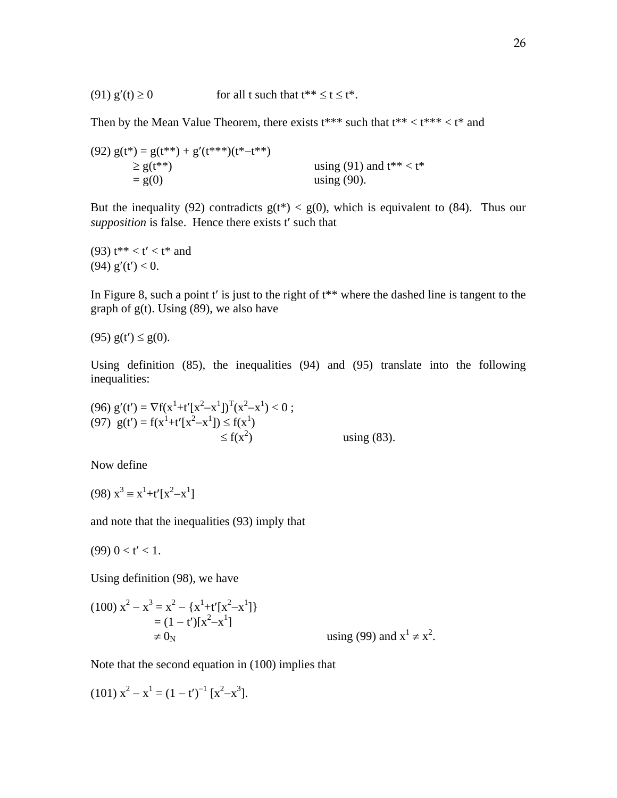(91)  $g'(t) \ge 0$  for all t such that  $t^{**} \le t \le t^*$ .

Then by the Mean Value Theorem, there exists  $t^{***}$  such that  $t^{**} < t^{***} < t^{*}$  and

(92) 
$$
g(t^*) = g(t^{**}) + g'(t^{***})(t^* - t^{**})
$$
  
\n $\geq g(t^{**})$  using (91) and  $t^{**} < t^*$   
\n $= g(0)$  using (90).

But the inequality (92) contradicts  $g(t^*) < g(0)$ , which is equivalent to (84). Thus our *supposition* is false. Hence there exists t' such that

(93)  $t^{**} < t' < t^*$  and (94)  $g'(t') < 0$ .

In Figure 8, such a point  $t'$  is just to the right of  $t^{**}$  where the dashed line is tangent to the graph of  $g(t)$ . Using (89), we also have

(95)  $g(t') \le g(0)$ .

Using definition (85), the inequalities (94) and (95) translate into the following inequalities:

(96) 
$$
g'(t') = \nabla f(x^1 + t'[x^2 - x^1])^T (x^2 - x^1) < 0
$$
;  
\n(97)  $g(t') = f(x^1 + t'[x^2 - x^1]) \le f(x^1)$   
\n $\le f(x^2)$  using (83).

Now define

$$
(98) x3 \equiv x1+t'[x2-x1]
$$

and note that the inequalities (93) imply that

$$
(99) \ 0 < t' < 1.
$$

Using definition (98), we have

$$
(100) x2 - x3 = x2 - {x1+t'[x2-x1]}= (1-t')[x2-x1] $\neq 0_N$  using (99) and x<sup>1</sup>  $\neq x2$ .
$$

Note that the second equation in (100) implies that

$$
(101) x2 - x1 = (1 - t')-1 [x2 – x3].
$$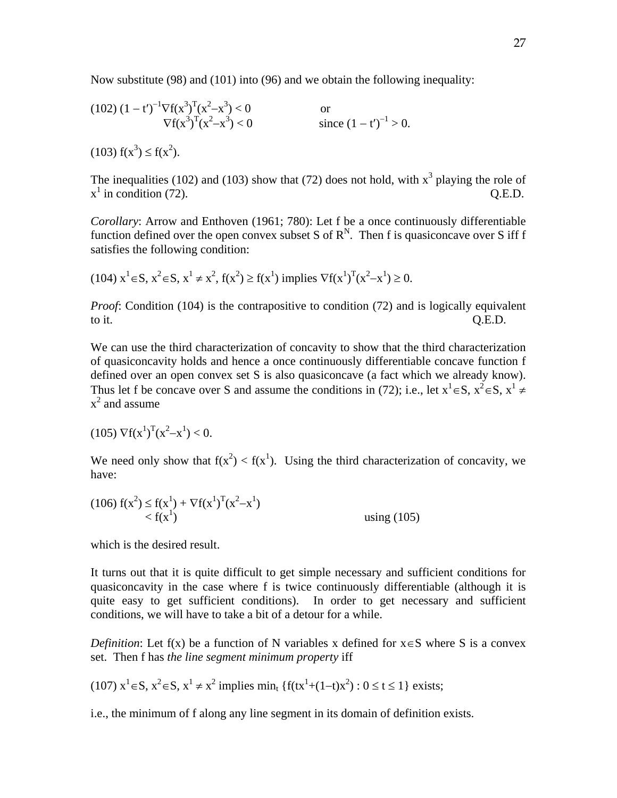Now substitute (98) and (101) into (96) and we obtain the following inequality:

(102) 
$$
(1-t')^{-1} \nabla f(x^3)^T (x^2-x^3) < 0
$$
 or  
  $\nabla f(x^3)^T (x^2-x^3) < 0$  since  $(1-t')^{-1} > 0$ .

 $(103) f(x^3) \le f(x^2)$ .

The inequalities (102) and (103) show that (72) does not hold, with  $x^3$  playing the role of  $x^1$  in condition (72). Q.E.D.

*Corollary*: Arrow and Enthoven (1961; 780): Let f be a once continuously differentiable function defined over the open convex subset S of  $R^N$ . Then f is quasiconcave over S iff f satisfies the following condition:

$$
(104) \; x^1 \in S, \; x^2 \in S, \; x^1 \neq x^2, \; f(x^2) \geq f(x^1) \; implies \; \nabla f(x^1)^T (x^2 - x^1) \geq 0.
$$

*Proof*: Condition (104) is the contrapositive to condition (72) and is logically equivalent to it. Q.E.D.

We can use the third characterization of concavity to show that the third characterization of quasiconcavity holds and hence a once continuously differentiable concave function f defined over an open convex set S is also quasiconcave (a fact which we already know). Thus let f be concave over S and assume the conditions in (72); i.e., let  $x^1 \in S$ ,  $x^2 \in S$ ,  $x^1 \neq$  $x^2$  and assume

$$
(105) \nabla f(x^1)^T (x^2 - x^1) < 0.
$$

We need only show that  $f(x^2) < f(x^1)$ . Using the third characterization of concavity, we have:

(106) 
$$
f(x^2) \le f(x^1) + \nabla f(x^1)^T (x^2 - x^1)
$$
  
<  $f(x^1)$  using (105)

which is the desired result.

It turns out that it is quite difficult to get simple necessary and sufficient conditions for quasiconcavity in the case where f is twice continuously differentiable (although it is quite easy to get sufficient conditions). In order to get necessary and sufficient conditions, we will have to take a bit of a detour for a while.

*Definition*: Let f(x) be a function of N variables x defined for  $x \in S$  where S is a convex set. Then f has *the line segment minimum property* iff

 $(107)$   $x^1 \in S$ ,  $x^2 \in S$ ,  $x^1 \neq x^2$  implies min<sub>t</sub>  $\{f(tx^1 + (1-t)x^2) : 0 \le t \le 1\}$  exists;

i.e., the minimum of f along any line segment in its domain of definition exists.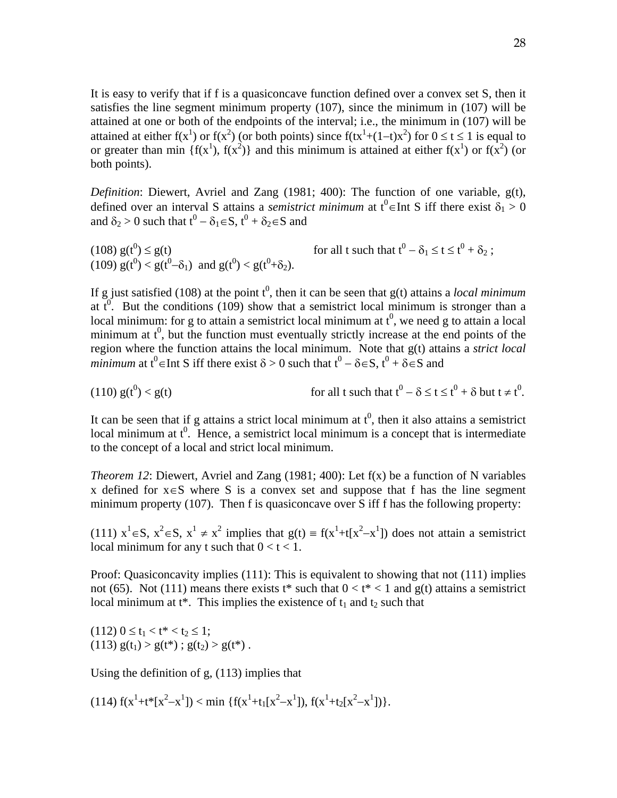It is easy to verify that if f is a quasiconcave function defined over a convex set S, then it satisfies the line segment minimum property (107), since the minimum in (107) will be attained at one or both of the endpoints of the interval; i.e., the minimum in (107) will be attained at either  $f(x^1)$  or  $f(x^2)$  (or both points) since  $f(tx^1+(1-t)x^2)$  for  $0 \le t \le 1$  is equal to or greater than min { $f(x^1)$ ,  $f(x^2)$ } and this minimum is attained at either  $f(x^1)$  or  $f(x^2)$  (or both points).

*Definition*: Diewert, Avriel and Zang (1981; 400): The function of one variable, g(t), defined over an interval S attains a *semistrict minimum* at  $t^0 \in Int S$  iff there exist  $\delta_1 > 0$ and  $\delta_2 > 0$  such that  $t^0 - \delta_1 \in S$ ,  $t^0 + \delta_2 \in S$  and

 $(108) g(t^0) \le g(t)$  $0 \le g(t)$  for all t such that  $t^0 - \delta_1 \le t \le t^0 + \delta_2$ ; (109)  $g(t^0) < g(t^0 - \delta_1)$  and  $g(t^0) < g(t^0 + \delta_2)$ .

If g just satisfied (108) at the point  $t^0$ , then it can be seen that  $g(t)$  attains a *local minimum* at  $t^0$ . But the conditions (109) show that a semistrict local minimum is stronger than a local minimum: for g to attain a semistrict local minimum at  $t^0$ , we need g to attain a local minimum at  $t^0$ , but the function must eventually strictly increase at the end points of the region where the function attains the local minimum. Note that g(t) attains a *strict local minimum* at  $t^0 \in$  Int S iff there exist  $\delta > 0$  such that  $t^0 - \delta \in S$ ,  $t^0 + \delta \in S$  and

(110) 
$$
g(t^0) < g(t)
$$
 for all t such that  $t^0 - \delta \le t \le t^0 + \delta$  but  $t \ne t^0$ .

It can be seen that if g attains a strict local minimum at  $t^0$ , then it also attains a semistrict local minimum at  $t^0$ . Hence, a semistrict local minimum is a concept that is intermediate to the concept of a local and strict local minimum.

*Theorem 12*: Diewert, Avriel and Zang (1981; 400): Let f(x) be a function of N variables x defined for  $x \in S$  where S is a convex set and suppose that f has the line segment minimum property (107). Then f is quasiconcave over S iff f has the following property:

(111)  $x^1 \in S$ ,  $x^2 \in S$ ,  $x^1 \neq x^2$  implies that  $g(t) = f(x^1 + t[x^2 - x^1])$  does not attain a semistrict local minimum for any t such that  $0 < t < 1$ .

Proof: Quasiconcavity implies (111): This is equivalent to showing that not (111) implies not (65). Not (111) means there exists  $t^*$  such that  $0 < t^* < 1$  and  $g(t)$  attains a semistrict local minimum at  $t^*$ . This implies the existence of  $t_1$  and  $t_2$  such that

 $(112)$   $0 \le t_1 < t^* < t_2 \le 1$ ; (113)  $g(t_1) > g(t^*)$ ;  $g(t_2) > g(t^*)$ .

Using the definition of g, (113) implies that

(114)  $f(x^1+t^*[x^2-x^1]) < \min \{f(x^1+t_1[x^2-x^1]), f(x^1+t_2[x^2-x^1])\}.$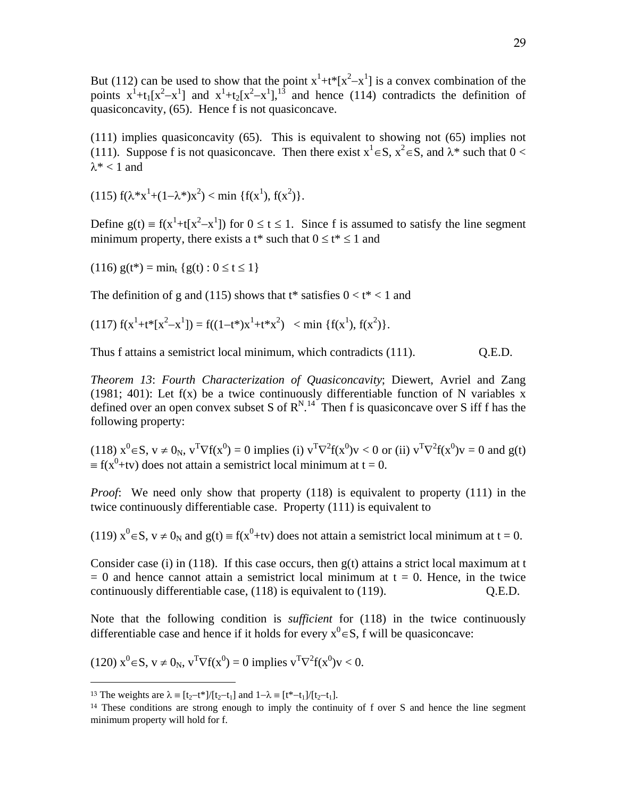But (112) can be used to show that the point  $x^1+t^*[x^2-x^1]$  is a convex combination of the points  $x^1+t_1[x^2-x^1]$  and  $x^1+t_2[x^2-x^1]$ ,<sup>13</sup> and hence (114) contradicts the definition of quasiconcavity, (65). Hence f is not quasiconcave.

(111) implies quasiconcavity (65). This is equivalent to showing not (65) implies not (111). Suppose f is not quasiconcave. Then there exist  $x^1 \in S$ ,  $x^2 \in S$ , and  $\lambda^*$  such that  $0 <$  $\lambda^*$  < 1 and

(115)  $f(\lambda^*x^1 + (1-\lambda^*)x^2) < \min \{f(x^1), f(x^2)\}.$ 

Define  $g(t) = f(x^1 + t[x^2 - x^1])$  for  $0 \le t \le 1$ . Since f is assumed to satisfy the line segment minimum property, there exists a  $t^*$  such that  $0 \le t^* \le 1$  and

 $(116)$  g(t<sup>\*</sup>) = min<sub>t</sub> {g(t) :  $0 \le t \le 1$ }

The definition of g and (115) shows that  $t^*$  satisfies  $0 < t^* < 1$  and

(117)  $f(x^1+t^*[x^2-x^1]) = f((1-t^*)x^1+t^*x^2) < \min \{f(x^1), f(x^2)\}.$ 

Thus f attains a semistrict local minimum, which contradicts (111).  $Q.E.D.$ 

*Theorem 13*: *Fourth Characterization of Quasiconcavity*; Diewert, Avriel and Zang (1981; 401): Let  $f(x)$  be a twice continuously differentiable function of N variables x defined over an open convex subset S of  $R^{N,14}$  Then f is quasiconcave over S iff f has the following property:

 $(118)$   $x^0 \in S$ ,  $v \neq 0_N$ ,  $v^T \nabla f(x^0) = 0$  implies (i)  $v^T \nabla^2 f(x^0) v < 0$  or (ii)  $v^T \nabla^2 f(x^0) v = 0$  and  $g(t)$  $f(x^0+tv)$  does not attain a semistrict local minimum at t = 0.

*Proof*: We need only show that property (118) is equivalent to property (111) in the twice continuously differentiable case. Property (111) is equivalent to

(119)  $x^0 \in S$ ,  $v \neq 0_N$  and  $g(t) \equiv f(x^0 + tv)$  does not attain a semistrict local minimum at  $t = 0$ .

Consider case (i) in (118). If this case occurs, then  $g(t)$  attains a strict local maximum at t  $= 0$  and hence cannot attain a semistrict local minimum at  $t = 0$ . Hence, in the twice continuously differentiable case, (118) is equivalent to (119). Q.E.D.

Note that the following condition is *sufficient* for (118) in the twice continuously differentiable case and hence if it holds for every  $x^0 \in S$ , f will be quasiconcave:

(120) 
$$
x^0 \in S
$$
,  $v \neq 0_N$ ,  $v^T \nabla f(x^0) = 0$  implies  $v^T \nabla^2 f(x^0) v < 0$ .

 $\overline{a}$ 

<sup>&</sup>lt;sup>13</sup> The weights are  $\lambda = [t_2-t^*]/[t_2-t_1]$  and  $1-\lambda = [t^*-t_1]/[t_2-t_1]$ .

<sup>&</sup>lt;sup>14</sup> These conditions are strong enough to imply the continuity of f over S and hence the line segment minimum property will hold for f.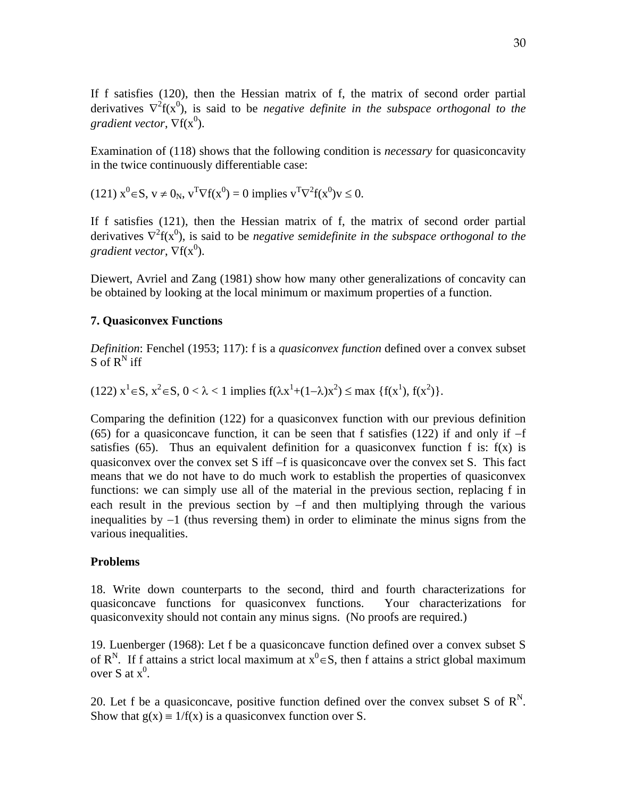If f satisfies (120), then the Hessian matrix of f, the matrix of second order partial derivatives  $\nabla^2 f(x^0)$ , is said to be *negative definite in the subspace orthogonal to the* gradient vector,  $\nabla f(x^0)$ .

Examination of (118) shows that the following condition is *necessary* for quasiconcavity in the twice continuously differentiable case:

(121) 
$$
x^0 \in S
$$
,  $v \neq 0_N$ ,  $v^T \nabla f(x^0) = 0$  implies  $v^T \nabla^2 f(x^0) v \leq 0$ .

If f satisfies (121), then the Hessian matrix of f, the matrix of second order partial derivatives  $\nabla^2 f(x^0)$ , is said to be *negative semidefinite in the subspace orthogonal to the* gradient vector,  $\nabla f(x^0)$ .

Diewert, Avriel and Zang (1981) show how many other generalizations of concavity can be obtained by looking at the local minimum or maximum properties of a function.

### **7. Quasiconvex Functions**

*Definition*: Fenchel (1953; 117): f is a *quasiconvex function* defined over a convex subset  $S$  of  $R^N$  iff

 $(122)$   $x^1 \in S$ ,  $x^2 \in S$ ,  $0 < \lambda < 1$  implies  $f(\lambda x^1 + (1-\lambda)x^2) \le \max \{f(x^1), f(x^2)\}.$ 

Comparing the definition (122) for a quasiconvex function with our previous definition (65) for a quasiconcave function, it can be seen that f satisfies (122) if and only if  $-f$ satisfies (65). Thus an equivalent definition for a quasiconvex function f is:  $f(x)$  is quasiconvex over the convex set S iff  $-f$  is quasiconcave over the convex set S. This fact means that we do not have to do much work to establish the properties of quasiconvex functions: we can simply use all of the material in the previous section, replacing f in each result in the previous section by  $-f$  and then multiplying through the various inequalities by  $-1$  (thus reversing them) in order to eliminate the minus signs from the various inequalities.

### **Problems**

18. Write down counterparts to the second, third and fourth characterizations for quasiconcave functions for quasiconvex functions. Your characterizations for quasiconvexity should not contain any minus signs. (No proofs are required.)

19. Luenberger (1968): Let f be a quasiconcave function defined over a convex subset S of R<sup>N</sup>. If f attains a strict local maximum at  $x^0 \in S$ , then f attains a strict global maximum over S at  $x^0$ .

20. Let f be a quasiconcave, positive function defined over the convex subset S of  $R^N$ . Show that  $g(x) = 1/f(x)$  is a quasiconvex function over S.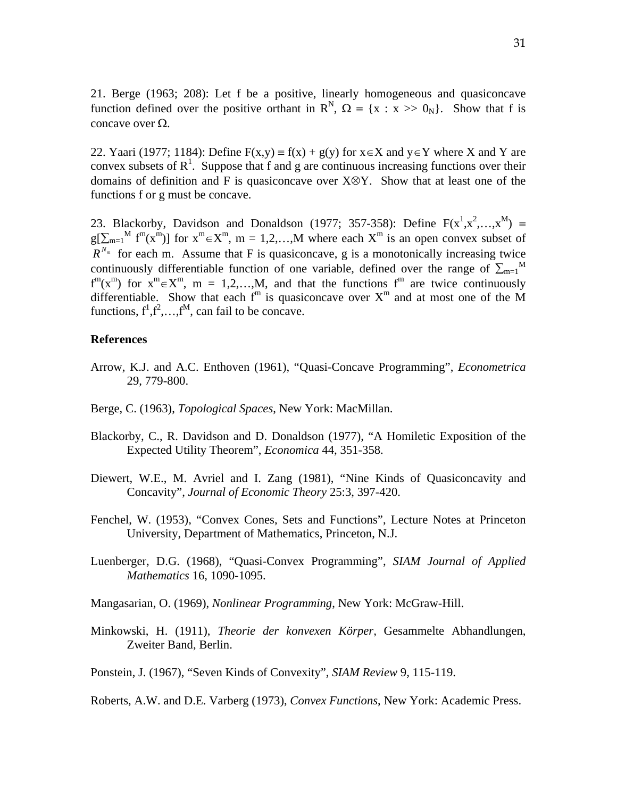21. Berge (1963; 208): Let f be a positive, linearly homogeneous and quasiconcave function defined over the positive orthant in  $\mathbb{R}^{N}$ ,  $\Omega = \{x : x \gg 0_N\}$ . Show that f is concave over  $\Omega$ .

22. Yaari (1977; 1184): Define  $F(x,y) = f(x) + g(y)$  for  $x \in X$  and  $y \in Y$  where X and Y are convex subsets of  $R<sup>1</sup>$ . Suppose that f and g are continuous increasing functions over their domains of definition and F is quasiconcave over  $X \otimes Y$ . Show that at least one of the functions f or g must be concave.

23. Blackorby, Davidson and Donaldson (1977; 357-358): Define  $F(x^1, x^2, \ldots, x^M)$  =  $g[\sum_{m=1}^{M} f^{m}(x^{m})]$  for  $x^{m} \in X^{m}$ ,  $m = 1,2,...,M$  where each  $X^{m}$  is an open convex subset of  $R^{N_m}$  for each m. Assume that F is quasiconcave, g is a monotonically increasing twice continuously differentiable function of one variable, defined over the range of  $\sum_{m=1}^{M}$  $f^{m}(x^{m})$  for  $x^{m} \in X^{m}$ ,  $m = 1, 2, \ldots, M$ , and that the functions  $f^{m}$  are twice continuously differentiable. Show that each  $f<sup>m</sup>$  is quasiconcave over  $X<sup>m</sup>$  and at most one of the M functions,  $f^1, f^2, \ldots, f^M$ , can fail to be concave.

# **References**

- Arrow, K.J. and A.C. Enthoven (1961), "Quasi-Concave Programming", *Econometrica*  29, 779-800.
- Berge, C. (1963), *Topological Spaces*, New York: MacMillan.
- Blackorby, C., R. Davidson and D. Donaldson (1977), "A Homiletic Exposition of the Expected Utility Theorem", *Economica* 44, 351-358.
- Diewert, W.E., M. Avriel and I. Zang (1981), "Nine Kinds of Quasiconcavity and Concavity", *Journal of Economic Theory* 25:3, 397-420.
- Fenchel, W. (1953), "Convex Cones, Sets and Functions", Lecture Notes at Princeton University, Department of Mathematics, Princeton, N.J.
- Luenberger, D.G. (1968), "Quasi-Convex Programming", *SIAM Journal of Applied Mathematics* 16, 1090-1095.
- Mangasarian, O. (1969), *Nonlinear Programming*, New York: McGraw-Hill.
- Minkowski, H. (1911), *Theorie der konvexen Körper,* Gesammelte Abhandlungen, Zweiter Band, Berlin.
- Ponstein, J. (1967), "Seven Kinds of Convexity", *SIAM Review* 9, 115-119.

Roberts, A.W. and D.E. Varberg (1973), *Convex Functions*, New York: Academic Press.